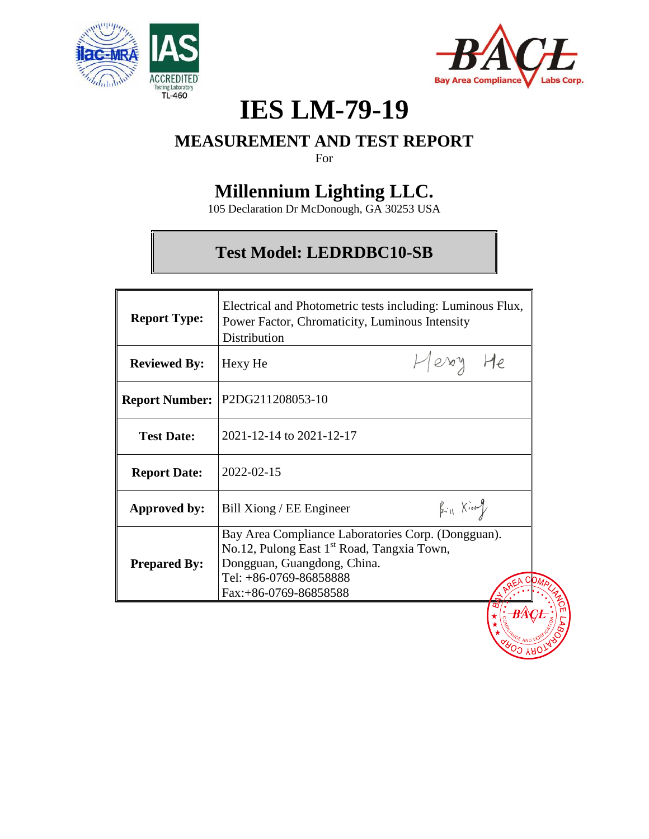



# **IES LM-79-19**

## **MEASUREMENT AND TEST REPORT**

For

## **Millennium Lighting LLC.**

105 Declaration Dr McDonough, GA 30253 USA

## **Test Model: LEDRDBC10-SB**

| <b>Report Type:</b>   | Electrical and Photometric tests including: Luminous Flux,<br>Power Factor, Chromaticity, Luminous Intensity<br>Distribution                                                                   |                           |  |
|-----------------------|------------------------------------------------------------------------------------------------------------------------------------------------------------------------------------------------|---------------------------|--|
| <b>Reviewed By:</b>   | Hexy He                                                                                                                                                                                        | Herry He                  |  |
| <b>Report Number:</b> | P2DG211208053-10                                                                                                                                                                               |                           |  |
| <b>Test Date:</b>     | 2021-12-14 to 2021-12-17                                                                                                                                                                       |                           |  |
| <b>Report Date:</b>   | 2022-02-15                                                                                                                                                                                     |                           |  |
| Approved by:          | Bill Xiong / EE Engineer                                                                                                                                                                       | $\beta_{i11}$ $\chi_{i0}$ |  |
| <b>Prepared By:</b>   | Bay Area Compliance Laboratories Corp. (Dongguan).<br>No.12, Pulong East 1 <sup>st</sup> Road, Tangxia Town,<br>Dongguan, Guangdong, China.<br>Tel: +86-0769-86858888<br>Fax:+86-0769-86858588 |                           |  |
|                       |                                                                                                                                                                                                |                           |  |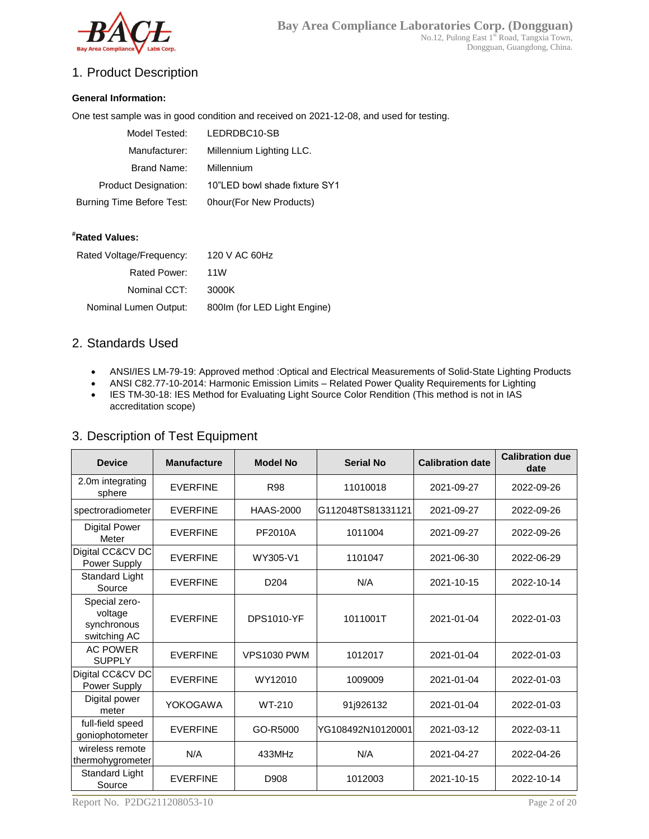

## 1. Product Description

#### **General Information:**

One test sample was in good condition and received on 2021-12-08, and used for testing.

| Model Tested:               | LEDRDBC10-SB                  |
|-----------------------------|-------------------------------|
| Manufacturer:               | Millennium Lighting LLC.      |
| Brand Name:                 | Millennium                    |
| <b>Product Designation:</b> | 10"LED bowl shade fixture SY1 |
| Burning Time Before Test:   | Ohour(For New Products)       |

#### **#Rated Values:**

| Rated Voltage/Frequency: | 120 V AC 60Hz                |
|--------------------------|------------------------------|
| Rated Power:             | 11W                          |
| Nominal CCT:             | 3000K                        |
| Nominal Lumen Output:    | 800Im (for LED Light Engine) |
|                          |                              |

#### 2. Standards Used

- ANSI/IES LM-79-19: Approved method :Optical and Electrical Measurements of Solid-State Lighting Products
- ANSI C82.77-10-2014: Harmonic Emission Limits Related Power Quality Requirements for Lighting
- IES TM-30-18: IES Method for Evaluating Light Source Color Rendition (This method is not in IAS accreditation scope)

| 3. Description of Test Equipment |                   |          |
|----------------------------------|-------------------|----------|
| <b>D</b>                         | $M = 1.15 + 1.17$ | Madel Ma |

| <b>Device</b>                                           | <b>Manufacture</b> | <b>Model No</b>    | <b>Serial No</b>  | <b>Calibration date</b> | <b>Calibration due</b><br>date |
|---------------------------------------------------------|--------------------|--------------------|-------------------|-------------------------|--------------------------------|
| 2.0m integrating<br>sphere                              | <b>EVERFINE</b>    | <b>R98</b>         | 11010018          | 2021-09-27              | 2022-09-26                     |
| spectroradiometer                                       | <b>EVERFINE</b>    | <b>HAAS-2000</b>   | G112048TS81331121 | 2021-09-27              | 2022-09-26                     |
| <b>Digital Power</b><br>Meter                           | <b>EVERFINE</b>    | PF2010A            | 1011004           | 2021-09-27              | 2022-09-26                     |
| Digital CC&CV DC<br>Power Supply                        | <b>EVERFINE</b>    | WY305-V1           | 1101047           | 2021-06-30              | 2022-06-29                     |
| Standard Light<br>Source                                | <b>EVERFINE</b>    | D <sub>204</sub>   | N/A               | 2021-10-15              | 2022-10-14                     |
| Special zero-<br>voltage<br>synchronous<br>switching AC | <b>EVERFINE</b>    | <b>DPS1010-YF</b>  | 1011001T          | 2021-01-04              | 2022-01-03                     |
| <b>AC POWER</b><br><b>SUPPLY</b>                        | <b>EVERFINE</b>    | <b>VPS1030 PWM</b> | 1012017           | 2021-01-04              | 2022-01-03                     |
| Digital CC&CV DC<br>Power Supply                        | <b>EVERFINE</b>    | WY12010            | 1009009           | 2021-01-04              | 2022-01-03                     |
| Digital power<br>meter                                  | YOKOGAWA           | WT-210             | 91j926132         | 2021-01-04              | 2022-01-03                     |
| full-field speed<br>goniophotometer                     | <b>EVERFINE</b>    | GO-R5000           | YG108492N10120001 | 2021-03-12              | 2022-03-11                     |
| wireless remote<br>thermohygrometer                     | N/A                | 433MHz             | N/A               | 2021-04-27              | 2022-04-26                     |
| Standard Light<br>Source                                | <b>EVERFINE</b>    | D908               | 1012003           | 2021-10-15              | 2022-10-14                     |

Report No. P2DG211208053-10 Page 2 of 20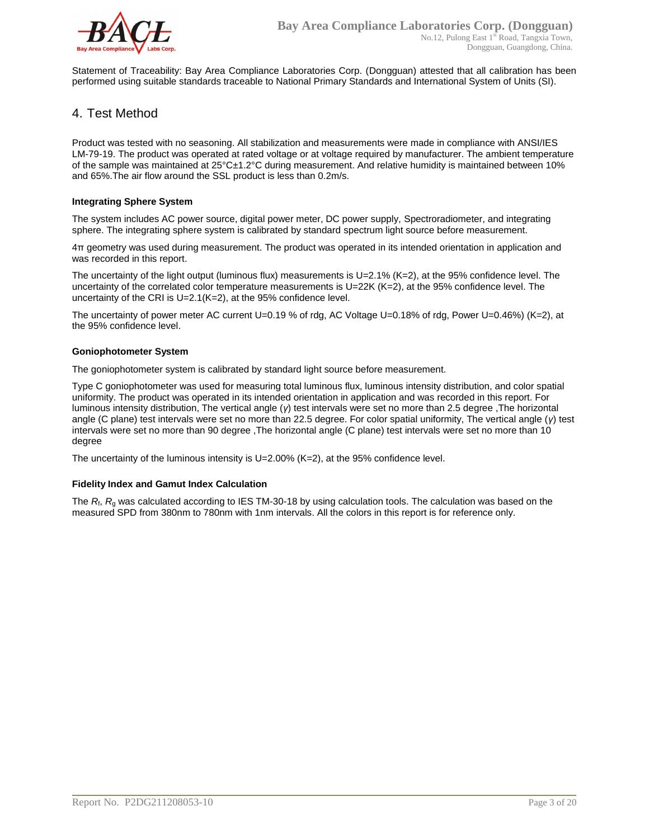

Statement of Traceability: Bay Area Compliance Laboratories Corp. (Dongguan) attested that all calibration has been performed using suitable standards traceable to National Primary Standards and International System of Units (SI).

#### 4. Test Method

Product was tested with no seasoning. All stabilization and measurements were made in compliance with ANSI/IES LM-79-19. The product was operated at rated voltage or at voltage required by manufacturer. The ambient temperature of the sample was maintained at 25°C±1.2°C during measurement. And relative humidity is maintained between 10% and 65%.The air flow around the SSL product is less than 0.2m/s.

#### **Integrating Sphere System**

The system includes AC power source, digital power meter, DC power supply, Spectroradiometer, and integrating sphere. The integrating sphere system is calibrated by standard spectrum light source before measurement.

4π geometry was used during measurement. The product was operated in its intended orientation in application and was recorded in this report.

The uncertainty of the light output (luminous flux) measurements is  $U=2.1\%$  (K=2), at the 95% confidence level. The uncertainty of the correlated color temperature measurements is U=22K (K=2), at the 95% confidence level. The uncertainty of the CRI is U=2.1(K=2), at the 95% confidence level.

The uncertainty of power meter AC current U=0.19 % of rdg, AC Voltage U=0.18% of rdg, Power U=0.46%) (K=2), at the 95% confidence level.

#### **Goniophotometer System**

The goniophotometer system is calibrated by standard light source before measurement.

Type C goniophotometer was used for measuring total luminous flux, luminous intensity distribution, and color spatial uniformity. The product was operated in its intended orientation in application and was recorded in this report. For luminous intensity distribution, The vertical angle (*γ*) test intervals were set no more than 2.5 degree ,The horizontal angle (C plane) test intervals were set no more than 22.5 degree. For color spatial uniformity, The vertical angle (*γ*) test intervals were set no more than 90 degree ,The horizontal angle (C plane) test intervals were set no more than 10 degree

The uncertainty of the luminous intensity is U=2.00% (K=2), at the 95% confidence level.

#### **Fidelity Index and Gamut Index Calculation**

The  $R_i$ ,  $R_q$  was calculated according to IES TM-30-18 by using calculation tools. The calculation was based on the measured SPD from 380nm to 780nm with 1nm intervals. All the colors in this report is for reference only.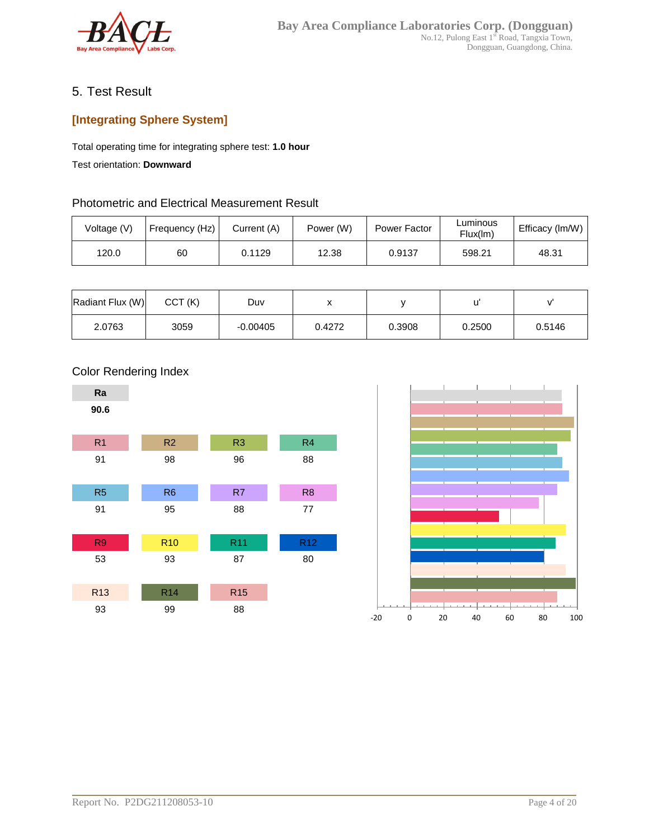

### 5. Test Result

## **[Integrating Sphere System]**

Total operating time for integrating sphere test: **1.0 hour**

Test orientation: **Downward**

#### Photometric and Electrical Measurement Result

| Voltage (V) | Frequency (Hz) | Current (A) | Power (W) | Power Factor | Luminous<br>Flux(lm) | Efficacy (Im/W) |
|-------------|----------------|-------------|-----------|--------------|----------------------|-----------------|
| 120.0       | 60             | 0.1129      | 12.38     | 0.9137       | 598.21               | 48.31           |

| Radiant Flux (W) | CCT(K) | Duv        |        |        |        |        |
|------------------|--------|------------|--------|--------|--------|--------|
| 2.0763           | 3059   | $-0.00405$ | 0.4272 | 0.3908 | 0.2500 | 0.5146 |





#### Color Rendering Index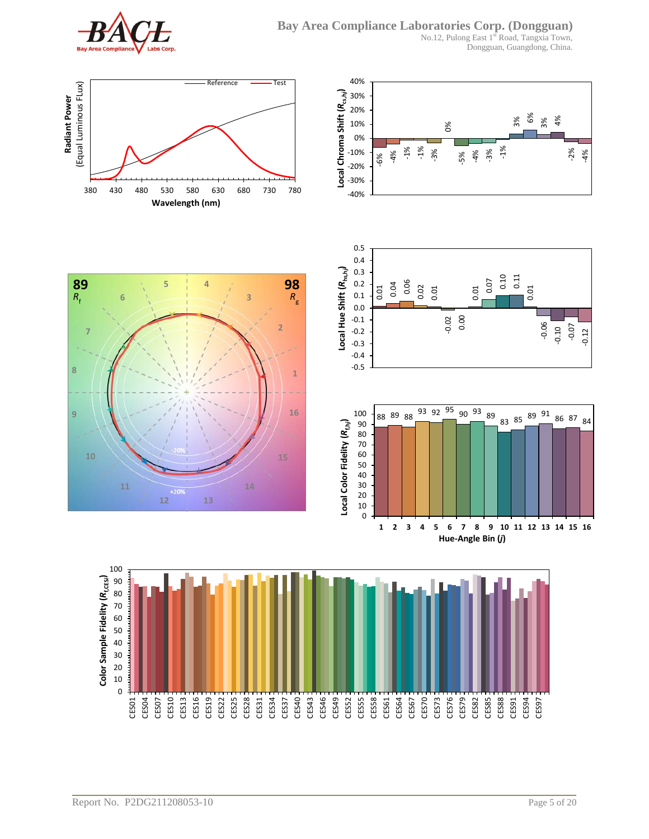

**6**

**11**

**7**

 $R_f$ 

**8**

**9**

No.12, Pulong East 1st Road, Tangxia Town, Dongguan, Guangdong, China.



**5 4**

**89 98**

**10 15**

**12 13**







**1**

*R*g

**16**

**2**

**3**

**14**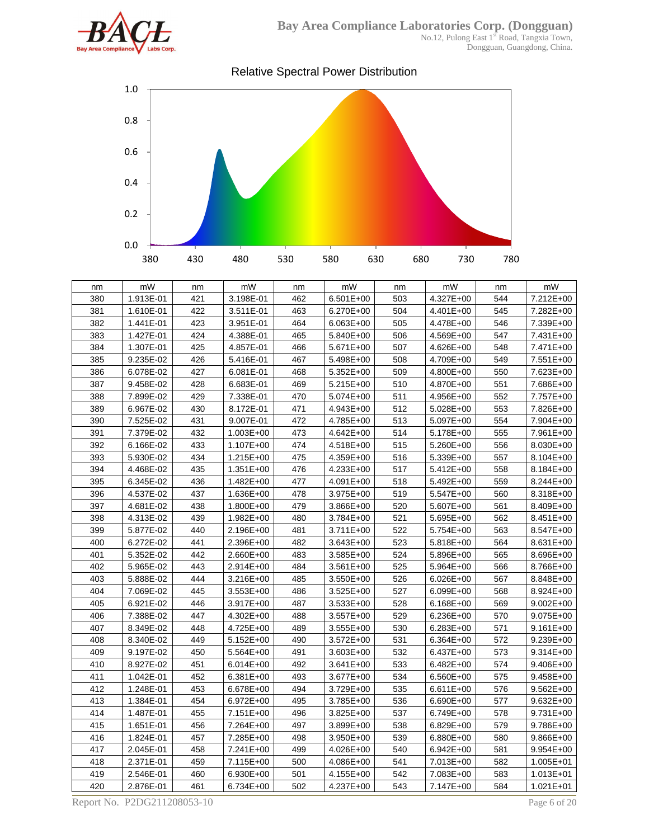

Dongguan, Guangdong, China.



| nm  | mW        | nm  | mW            | nm  | mW        | nm  | mW            | nm  | mW            |
|-----|-----------|-----|---------------|-----|-----------|-----|---------------|-----|---------------|
| 380 | 1.913E-01 | 421 | 3.198E-01     | 462 | 6.501E+00 | 503 | 4.327E+00     | 544 | 7.212E+00     |
| 381 | 1.610E-01 | 422 | 3.511E-01     | 463 | 6.270E+00 | 504 | 4.401E+00     | 545 | 7.282E+00     |
| 382 | 1.441E-01 | 423 | 3.951E-01     | 464 | 6.063E+00 | 505 | 4.478E+00     | 546 | 7.339E+00     |
| 383 | 1.427E-01 | 424 | 4.388E-01     | 465 | 5.840E+00 | 506 | 4.569E+00     | 547 | 7.431E+00     |
| 384 | 1.307E-01 | 425 | 4.857E-01     | 466 | 5.671E+00 | 507 | 4.626E+00     | 548 | 7.471E+00     |
| 385 | 9.235E-02 | 426 | 5.416E-01     | 467 | 5.498E+00 | 508 | 4.709E+00     | 549 | 7.551E+00     |
| 386 | 6.078E-02 | 427 | 6.081E-01     | 468 | 5.352E+00 | 509 | 4.800E+00     | 550 | 7.623E+00     |
| 387 | 9.458E-02 | 428 | 6.683E-01     | 469 | 5.215E+00 | 510 | 4.870E+00     | 551 | 7.686E+00     |
| 388 | 7.899E-02 | 429 | 7.338E-01     | 470 | 5.074E+00 | 511 | 4.956E+00     | 552 | 7.757E+00     |
| 389 | 6.967E-02 | 430 | 8.172E-01     | 471 | 4.943E+00 | 512 | 5.028E+00     | 553 | 7.826E+00     |
| 390 | 7.525E-02 | 431 | 9.007E-01     | 472 | 4.785E+00 | 513 | 5.097E+00     | 554 | 7.904E+00     |
| 391 | 7.379E-02 | 432 | 1.003E+00     | 473 | 4.642E+00 | 514 | 5.178E+00     | 555 | 7.961E+00     |
| 392 | 6.166E-02 | 433 | 1.107E+00     | 474 | 4.518E+00 | 515 | 5.260E+00     | 556 | 8.030E+00     |
| 393 | 5.930E-02 | 434 | 1.215E+00     | 475 | 4.359E+00 | 516 | 5.339E+00     | 557 | 8.104E+00     |
| 394 | 4.468E-02 | 435 | 1.351E+00     | 476 | 4.233E+00 | 517 | 5.412E+00     | 558 | 8.184E+00     |
| 395 | 6.345E-02 | 436 | 1.482E+00     | 477 | 4.091E+00 | 518 | 5.492E+00     | 559 | 8.244E+00     |
| 396 | 4.537E-02 | 437 | 1.636E+00     | 478 | 3.975E+00 | 519 | 5.547E+00     | 560 | 8.318E+00     |
| 397 | 4.681E-02 | 438 | 1.800E+00     | 479 | 3.866E+00 | 520 | 5.607E+00     | 561 | 8.409E+00     |
| 398 | 4.313E-02 | 439 | 1.982E+00     | 480 | 3.784E+00 | 521 | 5.695E+00     | 562 | 8.451E+00     |
| 399 | 5.877E-02 | 440 | 2.196E+00     | 481 | 3.711E+00 | 522 | 5.754E+00     | 563 | 8.547E+00     |
| 400 | 6.272E-02 | 441 | 2.396E+00     | 482 | 3.643E+00 | 523 | 5.818E+00     | 564 | 8.631E+00     |
| 401 | 5.352E-02 | 442 | 2.660E+00     | 483 | 3.585E+00 | 524 | 5.896E+00     | 565 | 8.696E+00     |
| 402 | 5.965E-02 | 443 | 2.914E+00     | 484 | 3.561E+00 | 525 | 5.964E+00     | 566 | 8.766E+00     |
| 403 | 5.888E-02 | 444 | 3.216E+00     | 485 | 3.550E+00 | 526 | 6.026E+00     | 567 | 8.848E+00     |
| 404 | 7.069E-02 | 445 | $3.553E + 00$ | 486 | 3.525E+00 | 527 | 6.099E+00     | 568 | 8.924E+00     |
| 405 | 6.921E-02 | 446 | 3.917E+00     | 487 | 3.533E+00 | 528 | 6.168E+00     | 569 | $9.002E + 00$ |
| 406 | 7.388E-02 | 447 | 4.302E+00     | 488 | 3.557E+00 | 529 | 6.236E+00     | 570 | 9.075E+00     |
| 407 | 8.349E-02 | 448 | 4.725E+00     | 489 | 3.555E+00 | 530 | $6.283E + 00$ | 571 | $9.161E + 00$ |
| 408 | 8.340E-02 | 449 | 5.152E+00     | 490 | 3.572E+00 | 531 | 6.364E+00     | 572 | 9.239E+00     |
| 409 | 9.197E-02 | 450 | 5.564E+00     | 491 | 3.603E+00 | 532 | 6.437E+00     | 573 | 9.314E+00     |
| 410 | 8.927E-02 | 451 | 6.014E+00     | 492 | 3.641E+00 | 533 | 6.482E+00     | 574 | 9.406E+00     |
| 411 | 1.042E-01 | 452 | 6.381E+00     | 493 | 3.677E+00 | 534 | 6.560E+00     | 575 | 9.458E+00     |
| 412 | 1.248E-01 | 453 | 6.678E+00     | 494 | 3.729E+00 | 535 | 6.611E+00     | 576 | 9.562E+00     |
| 413 | 1.384E-01 | 454 | 6.972E+00     | 495 | 3.785E+00 | 536 | 6.690E+00     | 577 | 9.632E+00     |
| 414 | 1.487E-01 | 455 | 7.151E+00     | 496 | 3.825E+00 | 537 | 6.749E+00     | 578 | 9.731E+00     |
| 415 | 1.651E-01 | 456 | 7.264E+00     | 497 | 3.899E+00 | 538 | 6.829E+00     | 579 | 9.786E+00     |
| 416 | 1.824E-01 | 457 | 7.285E+00     | 498 | 3.950E+00 | 539 | 6.880E+00     | 580 | 9.866E+00     |
| 417 | 2.045E-01 | 458 | 7.241E+00     | 499 | 4.026E+00 | 540 | 6.942E+00     | 581 | 9.954E+00     |
| 418 | 2.371E-01 | 459 | 7.115E+00     | 500 | 4.086E+00 | 541 | 7.013E+00     | 582 | 1.005E+01     |
| 419 | 2.546E-01 | 460 | 6.930E+00     | 501 | 4.155E+00 | 542 | 7.083E+00     | 583 | 1.013E+01     |
| 420 | 2.876E-01 | 461 | 6.734E+00     | 502 | 4.237E+00 | 543 | 7.147E+00     | 584 | $1.021E + 01$ |

Report No. P2DG211208053-10 Page 6 of 20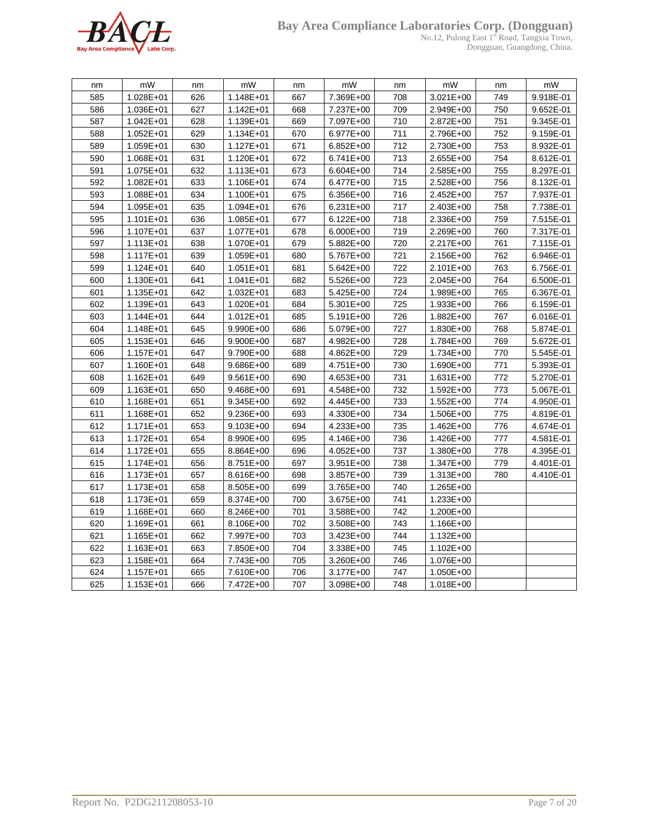

#### **Bay Area Compliance Laboratories Corp. (Dongguan)**

No.12, Pulong East 1<sup>st</sup> Road, Tangxia Town, Dongguan, Guangdong, China.

| nm  | mW            | nm  | mW            | nm  | mW          | nm  | mW            | nm  | mW        |
|-----|---------------|-----|---------------|-----|-------------|-----|---------------|-----|-----------|
| 585 | 1.028E+01     | 626 | 1.148E+01     | 667 | 7.369E+00   | 708 | 3.021E+00     | 749 | 9.918E-01 |
| 586 | 1.036E+01     | 627 | 1.142E+01     | 668 | 7.237E+00   | 709 | 2.949E+00     | 750 | 9.652E-01 |
| 587 | $1.042E + 01$ | 628 | 1.139E+01     | 669 | 7.097E+00   | 710 | 2.872E+00     | 751 | 9.345E-01 |
| 588 | $1.052E + 01$ | 629 | $1.134E + 01$ | 670 | 6.977E+00   | 711 | 2.796E+00     | 752 | 9.159E-01 |
| 589 | 1.059E+01     | 630 | 1.127E+01     | 671 | $6.852E+00$ | 712 | 2.730E+00     | 753 | 8.932E-01 |
| 590 | 1.068E+01     | 631 | 1.120E+01     | 672 | 6.741E+00   | 713 | 2.655E+00     | 754 | 8.612E-01 |
| 591 | 1.075E+01     | 632 | 1.113E+01     | 673 | 6.604E+00   | 714 | 2.585E+00     | 755 | 8.297E-01 |
| 592 | $1.082E + 01$ | 633 | 1.106E+01     | 674 | 6.477E+00   | 715 | 2.528E+00     | 756 | 8.132E-01 |
| 593 | 1.088E+01     | 634 | 1.100E+01     | 675 | 6.356E+00   | 716 | 2.452E+00     | 757 | 7.937E-01 |
| 594 | 1.095E+01     | 635 | 1.094E+01     | 676 | 6.231E+00   | 717 | 2.403E+00     | 758 | 7.738E-01 |
| 595 | 1.101E+01     | 636 | 1.085E+01     | 677 | 6.122E+00   | 718 | 2.336E+00     | 759 | 7.515E-01 |
| 596 | 1.107E+01     | 637 | 1.077E+01     | 678 | 6.000E+00   | 719 | 2.269E+00     | 760 | 7.317E-01 |
| 597 | $1.113E + 01$ | 638 | 1.070E+01     | 679 | 5.882E+00   | 720 | 2.217E+00     | 761 | 7.115E-01 |
| 598 | 1.117E+01     | 639 | 1.059E+01     | 680 | 5.767E+00   | 721 | 2.156E+00     | 762 | 6.946E-01 |
| 599 | 1.124E+01     | 640 | $1.051E + 01$ | 681 | 5.642E+00   | 722 | 2.101E+00     | 763 | 6.756E-01 |
| 600 | 1.130E+01     | 641 | $1.041E + 01$ | 682 | 5.526E+00   | 723 | 2.045E+00     | 764 | 6.500E-01 |
| 601 | 1.135E+01     | 642 | $1.032E + 01$ | 683 | 5.425E+00   | 724 | 1.989E+00     | 765 | 6.367E-01 |
| 602 | 1.139E+01     | 643 | 1.020E+01     | 684 | 5.301E+00   | 725 | 1.933E+00     | 766 | 6.159E-01 |
| 603 | $1.144E + 01$ | 644 | $1.012E + 01$ | 685 | 5.191E+00   | 726 | 1.882E+00     | 767 | 6.016E-01 |
| 604 | 1.148E+01     | 645 | 9.990E+00     | 686 | 5.079E+00   | 727 | 1.830E+00     | 768 | 5.874E-01 |
| 605 | 1.153E+01     | 646 | 9.900E+00     | 687 | 4.982E+00   | 728 | 1.784E+00     | 769 | 5.672E-01 |
| 606 | 1.157E+01     | 647 | 9.790E+00     | 688 | 4.862E+00   | 729 | 1.734E+00     | 770 | 5.545E-01 |
| 607 | 1.160E+01     | 648 | 9.686E+00     | 689 | 4.751E+00   | 730 | 1.690E+00     | 771 | 5.393E-01 |
| 608 | 1.162E+01     | 649 | 9.561E+00     | 690 | 4.653E+00   | 731 | 1.631E+00     | 772 | 5.270E-01 |
| 609 | 1.163E+01     | 650 | 9.468E+00     | 691 | 4.548E+00   | 732 | 1.592E+00     | 773 | 5.067E-01 |
| 610 | 1.168E+01     | 651 | 9.345E+00     | 692 | 4.445E+00   | 733 | 1.552E+00     | 774 | 4.950E-01 |
| 611 | 1.168E+01     | 652 | 9.236E+00     | 693 | 4.330E+00   | 734 | 1.506E+00     | 775 | 4.819E-01 |
| 612 | 1.171E+01     | 653 | 9.103E+00     | 694 | 4.233E+00   | 735 | 1.462E+00     | 776 | 4.674E-01 |
| 613 | 1.172E+01     | 654 | 8.990E+00     | 695 | 4.146E+00   | 736 | 1.426E+00     | 777 | 4.581E-01 |
| 614 | 1.172E+01     | 655 | 8.864E+00     | 696 | 4.052E+00   | 737 | 1.380E+00     | 778 | 4.395E-01 |
| 615 | 1.174E+01     | 656 | 8.751E+00     | 697 | 3.951E+00   | 738 | 1.347E+00     | 779 | 4.401E-01 |
| 616 | 1.173E+01     | 657 | 8.616E+00     | 698 | 3.857E+00   | 739 | 1.313E+00     | 780 | 4.410E-01 |
| 617 | 1.173E+01     | 658 | 8.505E+00     | 699 | 3.765E+00   | 740 | 1.265E+00     |     |           |
| 618 | 1.173E+01     | 659 | 8.374E+00     | 700 | 3.675E+00   | 741 | 1.233E+00     |     |           |
| 619 | 1.168E+01     | 660 | 8.246E+00     | 701 | 3.588E+00   | 742 | 1.200E+00     |     |           |
| 620 | 1.169E+01     | 661 | 8.106E+00     | 702 | 3.508E+00   | 743 | 1.166E+00     |     |           |
| 621 | 1.165E+01     | 662 | 7.997E+00     | 703 | 3.423E+00   | 744 | $1.132E + 00$ |     |           |
| 622 | 1.163E+01     | 663 | 7.850E+00     | 704 | 3.338E+00   | 745 | 1.102E+00     |     |           |
| 623 | 1.158E+01     | 664 | 7.743E+00     | 705 | 3.260E+00   | 746 | 1.076E+00     |     |           |
| 624 | 1.157E+01     | 665 | 7.610E+00     | 706 | 3.177E+00   | 747 | 1.050E+00     |     |           |
| 625 | 1.153E+01     | 666 | 7.472E+00     | 707 | 3.098E+00   | 748 | 1.018E+00     |     |           |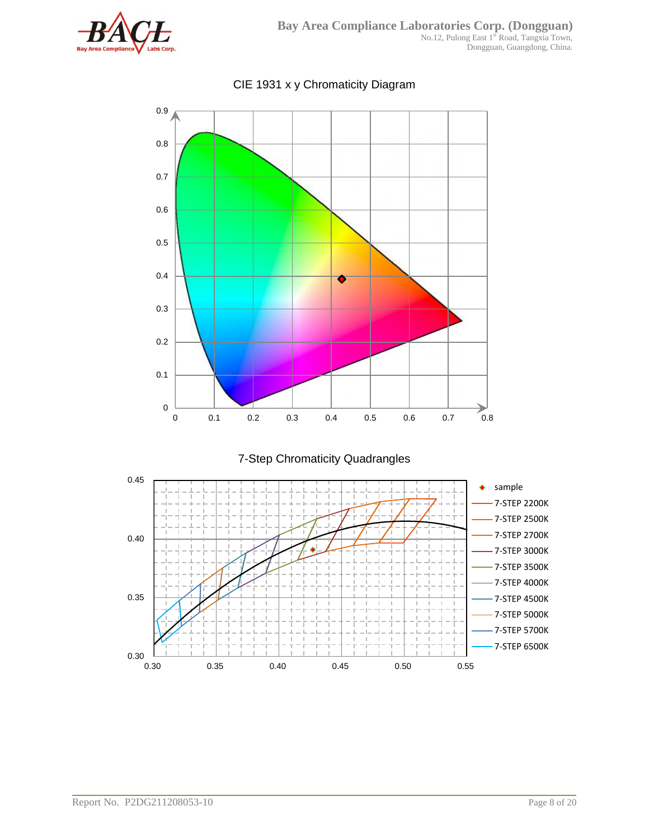



## CIE 1931 x y Chromaticity Diagram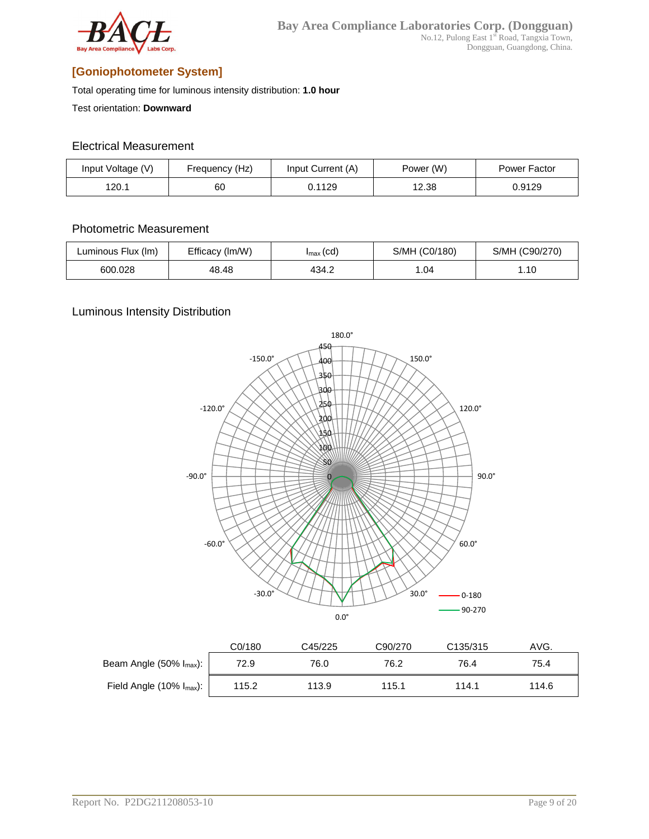

## **[Goniophotometer System]**

Total operating time for luminous intensity distribution: **1.0 hour**

Test orientation: **Downward**

#### Electrical Measurement

| Input Voltage (V) | Frequency (Hz) | Input Current (A) | Power (W) | Power Factor |
|-------------------|----------------|-------------------|-----------|--------------|
| 120.1             | 60             | 0.1129            | 12.38     | 0.9129       |

#### Photometric Measurement

| Luminous Flux (Im) | Efficacy (Im/W) | $I_{\text{max}}(cd)$ | S/MH (C0/180) | S/MH (C90/270) |
|--------------------|-----------------|----------------------|---------------|----------------|
| 600.028            | 48.48           | 434.2                | 1.04          | l.10           |

#### Luminous Intensity Distribution



|                                   | C0/180 | C45/225 | C90/270 | C <sub>135</sub> /315 | AVG.  |
|-----------------------------------|--------|---------|---------|-----------------------|-------|
| Beam Angle $(50\% \, I_{max})$ :  | 72.9   | 76.0    | 76.2    | 76.4                  | 75.4  |
| Field Angle $(10\% \, I_{max})$ : | 115.2  | 113.9   | 115.1   | 114.1                 | 114.6 |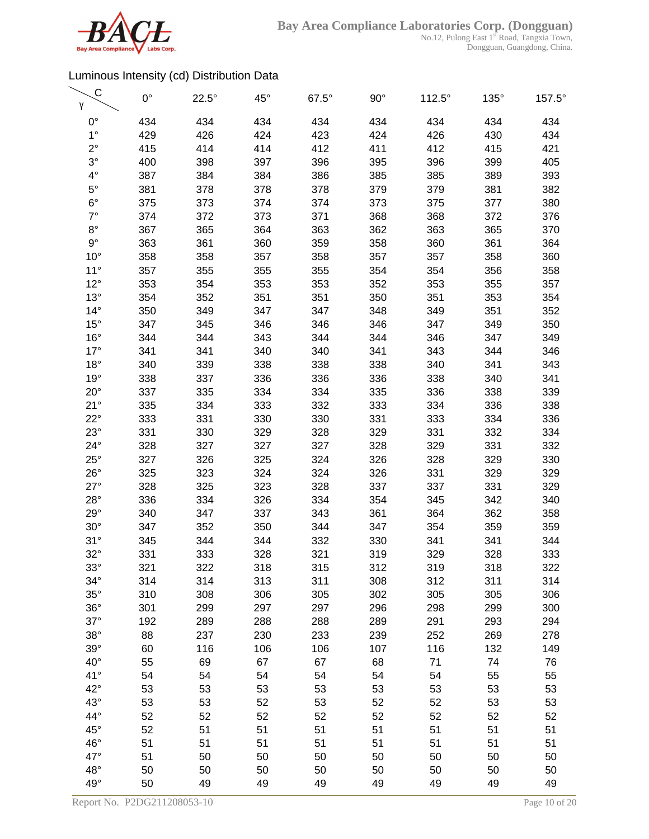

| С<br>γ       | $0^{\circ}$ | $22.5^\circ$ | $45^{\circ}$ | $67.5^\circ$ | $90^{\circ}$ | $112.5^\circ$ | $135^\circ$ | 157.5° |
|--------------|-------------|--------------|--------------|--------------|--------------|---------------|-------------|--------|
| $0^{\circ}$  | 434         | 434          | 434          | 434          | 434          | 434           | 434         | 434    |
| $1^{\circ}$  | 429         | 426          | 424          | 423          | 424          | 426           | 430         | 434    |
| $2^{\circ}$  | 415         | 414          | 414          | 412          | 411          | 412           | 415         | 421    |
| $3^\circ$    | 400         | 398          | 397          | 396          | 395          | 396           | 399         | 405    |
| $4^{\circ}$  | 387         | 384          | 384          | 386          | 385          | 385           | 389         | 393    |
| $5^{\circ}$  | 381         | 378          | 378          | 378          | 379          | 379           | 381         | 382    |
| $6^{\circ}$  | 375         | 373          | 374          | 374          | 373          | 375           | 377         | 380    |
| $7^\circ$    | 374         | 372          | 373          | 371          | 368          | 368           | 372         | 376    |
| $8^{\circ}$  | 367         | 365          | 364          | 363          | 362          | 363           | 365         | 370    |
| $9^{\circ}$  | 363         | 361          | 360          | 359          | 358          | 360           | 361         | 364    |
| $10^{\circ}$ | 358         | 358          | 357          | 358          | 357          | 357           | 358         | 360    |
| $11^{\circ}$ | 357         | 355          | 355          | 355          | 354          | 354           | 356         | 358    |
| $12^{\circ}$ | 353         | 354          | 353          | 353          | 352          | 353           | 355         | 357    |
| $13^\circ$   | 354         | 352          | 351          | 351          | 350          | 351           | 353         | 354    |
| $14^{\circ}$ | 350         | 349          | 347          | 347          | 348          | 349           | 351         | 352    |
| $15^{\circ}$ | 347         | 345          | 346          | 346          | 346          | 347           | 349         | 350    |
| $16^{\circ}$ | 344         | 344          | 343          | 344          | 344          | 346           | 347         | 349    |
| $17^\circ$   | 341         | 341          | 340          | 340          | 341          | 343           | 344         | 346    |
| $18^{\circ}$ | 340         | 339          | 338          | 338          | 338          | 340           | 341         | 343    |
| $19^\circ$   | 338         | 337          | 336          | 336          | 336          | 338           | 340         | 341    |
| $20^{\circ}$ | 337         | 335          | 334          | 334          | 335          | 336           | 338         | 339    |
| 21°          | 335         | 334          | 333          | 332          | 333          | 334           | 336         | 338    |
| $22^{\circ}$ | 333         | 331          | 330          | 330          | 331          | 333           | 334         | 336    |
| $23^\circ$   | 331         | 330          | 329          | 328          | 329          | 331           | 332         | 334    |
| $24^{\circ}$ | 328         | 327          | 327          | 327          | 328          | 329           | 331         | 332    |
| $25^\circ$   | 327         | 326          | 325          | 324          | 326          | 328           | 329         | 330    |
| $26^{\circ}$ | 325         | 323          | 324          | 324          | 326          | 331           | 329         | 329    |
| $27^\circ$   | 328         | 325          | 323          | 328          | 337          | 337           | 331         | 329    |
| $28^\circ$   | 336         | 334          | 326          | 334          | 354          | 345           | 342         | 340    |
| $29^\circ$   | 340         | 347          | 337          | 343          | 361          | 364           | 362         | 358    |
| $30^\circ$   | 347         | 352          | 350          | 344          | 347          | 354           | 359         | 359    |
| 31°          | 345         | 344          | 344          | 332          | 330          | 341           | 341         | 344    |
| $32^\circ$   | 331         | 333          | 328          | 321          | 319          | 329           | 328         | 333    |
| $33^\circ$   | 321         | 322          | 318          | 315          | 312          | 319           | 318         | 322    |
| $34^\circ$   | 314         | 314          | 313          | 311          | 308          | 312           | 311         | 314    |
| $35^\circ$   | 310         | 308          | 306          | 305          | 302          | 305           | 305         | 306    |
| $36^\circ$   | 301         | 299          | 297          | 297          | 296          | 298           | 299         | 300    |
| $37^\circ$   | 192         | 289          | 288          | 288          | 289          | 291           | 293         | 294    |
| $38^\circ$   | 88          | 237          | 230          | 233          | 239          | 252           | 269         | 278    |
| $39^\circ$   | 60          | 116          | 106          | 106          | 107          | 116           | 132         | 149    |
| $40^{\circ}$ | 55          | 69           | 67           | 67           | 68           | 71            | 74          | 76     |
| 41°          | 54          | 54           | 54           | 54           | 54           | 54            | 55          | 55     |
| $42^{\circ}$ | 53          | 53           | 53           | 53           | 53           | 53            | 53          | 53     |
| $43^\circ$   | 53          | 53           | 52           | 53           | 52           | 52            | 53          | 53     |
| 44°          | 52          | 52           | 52           | 52           | 52           | 52            | 52          | 52     |
| $45^{\circ}$ | 52          | 51           | 51           | 51           | 51           | 51            | 51          | 51     |
| 46°          | 51          | 51           | 51           | 51           | 51           | 51            | 51          | 51     |
| $47^\circ$   | 51          | 50           | 50           | 50           | 50           | 50            | 50          | 50     |
| $48^\circ$   | 50          | 50           | 50           | 50           | 50           | 50            | 50          | 50     |
| $49^\circ$   | 50          | 49           | 49           | 49           | 49           | 49            | 49          | 49     |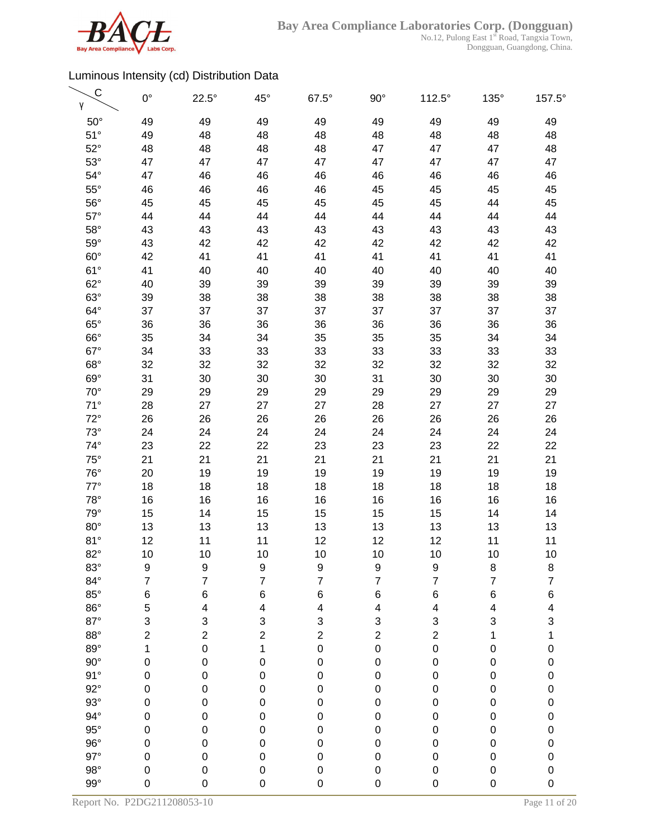

| $50^\circ$<br>49<br>49<br>49<br>49<br>49<br>49<br>49<br>49<br>$51^\circ$<br>49<br>48<br>48<br>48<br>48<br>48<br>48<br>48<br>$52^{\circ}$<br>48<br>48<br>48<br>48<br>47<br>47<br>47<br>48<br>$53^\circ$<br>47<br>47<br>47<br>47<br>47<br>47<br>47<br>47<br>$54^\circ$<br>47<br>46<br>46<br>46<br>46<br>46<br>46<br>46<br>$55^{\circ}$<br>46<br>46<br>46<br>45<br>45<br>45<br>46<br>45<br>$56^{\circ}$<br>45<br>45<br>45<br>45<br>45<br>45<br>45<br>44<br>$57^\circ$<br>44<br>44<br>44<br>44<br>44<br>44<br>44<br>44<br>$58^\circ$<br>43<br>43<br>43<br>43<br>43<br>43<br>43<br>43<br>$59^\circ$<br>42<br>42<br>43<br>42<br>42<br>42<br>42<br>42<br>$60^\circ$<br>42<br>41<br>41<br>41<br>41<br>41<br>41<br>41<br>$61^{\circ}$<br>41<br>40<br>40<br>40<br>40<br>40<br>40<br>40<br>$62^\circ$<br>40<br>39<br>39<br>39<br>39<br>39<br>39<br>39<br>$63^\circ$<br>38<br>39<br>38<br>38<br>38<br>38<br>38<br>38<br>$64^{\circ}$<br>37<br>37<br>37<br>37<br>37<br>37<br>37<br>37<br>$65^\circ$<br>36<br>36<br>36<br>36<br>36<br>36<br>36<br>36<br>$66^\circ$<br>34<br>35<br>35<br>35<br>34<br>35<br>34<br>34<br>$67^\circ$<br>33<br>33<br>33<br>33<br>33<br>33<br>33<br>34<br>$68^\circ$<br>32<br>32<br>32<br>32<br>32<br>32<br>32<br>32<br>$69^\circ$<br>31<br>30<br>30<br>30<br>30<br>30<br>30<br>31<br>$70^{\circ}$<br>29<br>29<br>29<br>29<br>29<br>29<br>29<br>29<br>$71^\circ$<br>28<br>27<br>27<br>27<br>28<br>27<br>27<br>27<br>$72^\circ$<br>26<br>26<br>26<br>26<br>26<br>26<br>26<br>26<br>$73^\circ$<br>24<br>24<br>24<br>24<br>24<br>24<br>24<br>24<br>$74^\circ$<br>23<br>22<br>22<br>23<br>23<br>23<br>22<br>22<br>$75^\circ$<br>21<br>21<br>21<br>21<br>21<br>21<br>21<br>21<br>$76^{\circ}$<br>19<br>20<br>19<br>19<br>19<br>19<br>19<br>19<br>$77^\circ$<br>18<br>18<br>18<br>18<br>18<br>18<br>18<br>18<br>$78^\circ$<br>16<br>16<br>16<br>16<br>16<br>16<br>16<br>16<br>$79^\circ$<br>15<br>15<br>15<br>15<br>15<br>14<br>14<br>14<br>$80^\circ$<br>13<br>13<br>13<br>13<br>13<br>13<br>13<br>13<br>81°<br>12<br>12<br>12<br>11<br>11<br>12<br>11<br>11<br>$82^\circ$<br>10<br>10<br>10<br>10<br>10<br>10<br>10<br>10<br>$83^\circ$<br>9<br>9<br>9<br>9<br>9<br>9<br>8<br>8<br>$\overline{7}$<br>$\overline{7}$<br>$\overline{7}$<br>$\overline{7}$<br>7<br>$84^\circ$<br>$\overline{\mathbf{7}}$<br>$\overline{7}$<br>$\overline{\mathcal{I}}$<br>$85^\circ$<br>$\,$ 6 $\,$<br>6<br>6<br>6<br>6<br>$\,6$<br>6<br>$\,$ 6 $\,$<br>$86^\circ$<br>5<br>4<br>4<br>4<br>4<br>4<br>4<br>4<br>$87^\circ$<br>3<br>3<br>3<br>3<br>3<br>3<br>3<br>3<br>$88^\circ$<br>$\overline{\mathbf{c}}$<br>$\overline{\mathbf{c}}$<br>$\overline{\mathbf{c}}$<br>$\overline{\mathbf{c}}$<br>$\overline{\mathbf{c}}$<br>$\overline{\mathbf{c}}$<br>1<br>1<br>$89^\circ$<br>$\mathbf 0$<br>$\mathbf 0$<br>$\mathbf 1$<br>$\mathbf 0$<br>1<br>$\mathbf 0$<br>$\mathbf 0$<br>$\pmb{0}$<br>$90^{\circ}$<br>$\mathbf{0}$<br>$\pmb{0}$<br>$\pmb{0}$<br>$\mathbf 0$<br>$\mathbf 0$<br>$\mathbf 0$<br>0<br>$\pmb{0}$<br>91°<br>$\mathbf 0$<br>$\pmb{0}$<br>$\pmb{0}$<br>$\mathbf 0$<br>$\pmb{0}$<br>$\pmb{0}$<br>0<br>$\pmb{0}$<br>$92^\circ$<br>$\mathbf 0$<br>$\mathbf 0$<br>$\pmb{0}$<br>$\mathbf 0$<br>$\mathsf 0$<br>$\pmb{0}$<br>0<br>$\pmb{0}$<br>$93^\circ$<br>$\mathbf{0}$<br>$\boldsymbol{0}$<br>$\pmb{0}$<br>$\boldsymbol{0}$<br>$\mathbf 0$<br>$\pmb{0}$<br>0<br>$\pmb{0}$<br>$94^\circ$<br>$\mathbf 0$<br>$\pmb{0}$<br>$\mathbf 0$<br>$\boldsymbol{0}$<br>$\boldsymbol{0}$<br>$\mathbf 0$<br>0<br>$\pmb{0}$<br>$95^\circ$<br>$\mathbf{0}$<br>$\mathbf 0$<br>$\mathbf 0$<br>$\pmb{0}$<br>$\mathbf 0$<br>$\mathbf 0$<br>0<br>$\pmb{0}$<br>$96^{\circ}$<br>$\mathbf{0}$<br>$\pmb{0}$<br>$\mathbf 0$<br>$\mathbf 0$<br>$\mathbf 0$<br>$\pmb{0}$<br>0<br>$\pmb{0}$<br>$97^\circ$<br>0<br>$\mathbf 0$<br>$\mathbf 0$<br>$\mathbf 0$<br>0<br>$\mathbf 0$<br>0<br>$\pmb{0}$<br>$98^\circ$<br>$\mathbf 0$<br>$\mathbf 0$<br>$\pmb{0}$<br>$\pmb{0}$<br>$\mathbf 0$<br>$\mathbf 0$<br>0<br>$\pmb{0}$<br>$99^\circ$<br>$\mathbf 0$<br>0<br>$\mathbf 0$<br>$\mathsf{O}\xspace$<br>$\mathbf 0$<br>$\boldsymbol{0}$<br>0<br>0 | C<br>γ | $0^{\circ}$ | $22.5^\circ$ | $45^{\circ}$ | $67.5^\circ$ | $90^\circ$ | $112.5^\circ$ | 135° | 157.5° |
|-----------------------------------------------------------------------------------------------------------------------------------------------------------------------------------------------------------------------------------------------------------------------------------------------------------------------------------------------------------------------------------------------------------------------------------------------------------------------------------------------------------------------------------------------------------------------------------------------------------------------------------------------------------------------------------------------------------------------------------------------------------------------------------------------------------------------------------------------------------------------------------------------------------------------------------------------------------------------------------------------------------------------------------------------------------------------------------------------------------------------------------------------------------------------------------------------------------------------------------------------------------------------------------------------------------------------------------------------------------------------------------------------------------------------------------------------------------------------------------------------------------------------------------------------------------------------------------------------------------------------------------------------------------------------------------------------------------------------------------------------------------------------------------------------------------------------------------------------------------------------------------------------------------------------------------------------------------------------------------------------------------------------------------------------------------------------------------------------------------------------------------------------------------------------------------------------------------------------------------------------------------------------------------------------------------------------------------------------------------------------------------------------------------------------------------------------------------------------------------------------------------------------------------------------------------------------------------------------------------------------------------------------------------------------------------------------------------------------------------------------------------------------------------------------------------------------------------------------------------------------------------------------------------------------------------------------------------------------------------------------------------------------------------------------------------------------------------------------------------------------------------------------------------------------------------------------------------------------------------------------------------------------------------------------------------------------------------------------------------------------------------------------------------------------------------------------------------------------------------------------------------------------------------------------------------------------------------------------------------------------------------------------------------------------------------------------------------------------------------------------------------------------------------------------------------------------------------------------------------------------------------------------------------------------------------------------------------------------------------------------------------------------------------------------------------------------------------------------------------|--------|-------------|--------------|--------------|--------------|------------|---------------|------|--------|
|                                                                                                                                                                                                                                                                                                                                                                                                                                                                                                                                                                                                                                                                                                                                                                                                                                                                                                                                                                                                                                                                                                                                                                                                                                                                                                                                                                                                                                                                                                                                                                                                                                                                                                                                                                                                                                                                                                                                                                                                                                                                                                                                                                                                                                                                                                                                                                                                                                                                                                                                                                                                                                                                                                                                                                                                                                                                                                                                                                                                                                                                                                                                                                                                                                                                                                                                                                                                                                                                                                                                                                                                                                                                                                                                                                                                                                                                                                                                                                                                                                                                                                           |        |             |              |              |              |            |               |      |        |
|                                                                                                                                                                                                                                                                                                                                                                                                                                                                                                                                                                                                                                                                                                                                                                                                                                                                                                                                                                                                                                                                                                                                                                                                                                                                                                                                                                                                                                                                                                                                                                                                                                                                                                                                                                                                                                                                                                                                                                                                                                                                                                                                                                                                                                                                                                                                                                                                                                                                                                                                                                                                                                                                                                                                                                                                                                                                                                                                                                                                                                                                                                                                                                                                                                                                                                                                                                                                                                                                                                                                                                                                                                                                                                                                                                                                                                                                                                                                                                                                                                                                                                           |        |             |              |              |              |            |               |      |        |
|                                                                                                                                                                                                                                                                                                                                                                                                                                                                                                                                                                                                                                                                                                                                                                                                                                                                                                                                                                                                                                                                                                                                                                                                                                                                                                                                                                                                                                                                                                                                                                                                                                                                                                                                                                                                                                                                                                                                                                                                                                                                                                                                                                                                                                                                                                                                                                                                                                                                                                                                                                                                                                                                                                                                                                                                                                                                                                                                                                                                                                                                                                                                                                                                                                                                                                                                                                                                                                                                                                                                                                                                                                                                                                                                                                                                                                                                                                                                                                                                                                                                                                           |        |             |              |              |              |            |               |      |        |
|                                                                                                                                                                                                                                                                                                                                                                                                                                                                                                                                                                                                                                                                                                                                                                                                                                                                                                                                                                                                                                                                                                                                                                                                                                                                                                                                                                                                                                                                                                                                                                                                                                                                                                                                                                                                                                                                                                                                                                                                                                                                                                                                                                                                                                                                                                                                                                                                                                                                                                                                                                                                                                                                                                                                                                                                                                                                                                                                                                                                                                                                                                                                                                                                                                                                                                                                                                                                                                                                                                                                                                                                                                                                                                                                                                                                                                                                                                                                                                                                                                                                                                           |        |             |              |              |              |            |               |      |        |
|                                                                                                                                                                                                                                                                                                                                                                                                                                                                                                                                                                                                                                                                                                                                                                                                                                                                                                                                                                                                                                                                                                                                                                                                                                                                                                                                                                                                                                                                                                                                                                                                                                                                                                                                                                                                                                                                                                                                                                                                                                                                                                                                                                                                                                                                                                                                                                                                                                                                                                                                                                                                                                                                                                                                                                                                                                                                                                                                                                                                                                                                                                                                                                                                                                                                                                                                                                                                                                                                                                                                                                                                                                                                                                                                                                                                                                                                                                                                                                                                                                                                                                           |        |             |              |              |              |            |               |      |        |
|                                                                                                                                                                                                                                                                                                                                                                                                                                                                                                                                                                                                                                                                                                                                                                                                                                                                                                                                                                                                                                                                                                                                                                                                                                                                                                                                                                                                                                                                                                                                                                                                                                                                                                                                                                                                                                                                                                                                                                                                                                                                                                                                                                                                                                                                                                                                                                                                                                                                                                                                                                                                                                                                                                                                                                                                                                                                                                                                                                                                                                                                                                                                                                                                                                                                                                                                                                                                                                                                                                                                                                                                                                                                                                                                                                                                                                                                                                                                                                                                                                                                                                           |        |             |              |              |              |            |               |      |        |
|                                                                                                                                                                                                                                                                                                                                                                                                                                                                                                                                                                                                                                                                                                                                                                                                                                                                                                                                                                                                                                                                                                                                                                                                                                                                                                                                                                                                                                                                                                                                                                                                                                                                                                                                                                                                                                                                                                                                                                                                                                                                                                                                                                                                                                                                                                                                                                                                                                                                                                                                                                                                                                                                                                                                                                                                                                                                                                                                                                                                                                                                                                                                                                                                                                                                                                                                                                                                                                                                                                                                                                                                                                                                                                                                                                                                                                                                                                                                                                                                                                                                                                           |        |             |              |              |              |            |               |      |        |
|                                                                                                                                                                                                                                                                                                                                                                                                                                                                                                                                                                                                                                                                                                                                                                                                                                                                                                                                                                                                                                                                                                                                                                                                                                                                                                                                                                                                                                                                                                                                                                                                                                                                                                                                                                                                                                                                                                                                                                                                                                                                                                                                                                                                                                                                                                                                                                                                                                                                                                                                                                                                                                                                                                                                                                                                                                                                                                                                                                                                                                                                                                                                                                                                                                                                                                                                                                                                                                                                                                                                                                                                                                                                                                                                                                                                                                                                                                                                                                                                                                                                                                           |        |             |              |              |              |            |               |      |        |
|                                                                                                                                                                                                                                                                                                                                                                                                                                                                                                                                                                                                                                                                                                                                                                                                                                                                                                                                                                                                                                                                                                                                                                                                                                                                                                                                                                                                                                                                                                                                                                                                                                                                                                                                                                                                                                                                                                                                                                                                                                                                                                                                                                                                                                                                                                                                                                                                                                                                                                                                                                                                                                                                                                                                                                                                                                                                                                                                                                                                                                                                                                                                                                                                                                                                                                                                                                                                                                                                                                                                                                                                                                                                                                                                                                                                                                                                                                                                                                                                                                                                                                           |        |             |              |              |              |            |               |      |        |
|                                                                                                                                                                                                                                                                                                                                                                                                                                                                                                                                                                                                                                                                                                                                                                                                                                                                                                                                                                                                                                                                                                                                                                                                                                                                                                                                                                                                                                                                                                                                                                                                                                                                                                                                                                                                                                                                                                                                                                                                                                                                                                                                                                                                                                                                                                                                                                                                                                                                                                                                                                                                                                                                                                                                                                                                                                                                                                                                                                                                                                                                                                                                                                                                                                                                                                                                                                                                                                                                                                                                                                                                                                                                                                                                                                                                                                                                                                                                                                                                                                                                                                           |        |             |              |              |              |            |               |      |        |
|                                                                                                                                                                                                                                                                                                                                                                                                                                                                                                                                                                                                                                                                                                                                                                                                                                                                                                                                                                                                                                                                                                                                                                                                                                                                                                                                                                                                                                                                                                                                                                                                                                                                                                                                                                                                                                                                                                                                                                                                                                                                                                                                                                                                                                                                                                                                                                                                                                                                                                                                                                                                                                                                                                                                                                                                                                                                                                                                                                                                                                                                                                                                                                                                                                                                                                                                                                                                                                                                                                                                                                                                                                                                                                                                                                                                                                                                                                                                                                                                                                                                                                           |        |             |              |              |              |            |               |      |        |
|                                                                                                                                                                                                                                                                                                                                                                                                                                                                                                                                                                                                                                                                                                                                                                                                                                                                                                                                                                                                                                                                                                                                                                                                                                                                                                                                                                                                                                                                                                                                                                                                                                                                                                                                                                                                                                                                                                                                                                                                                                                                                                                                                                                                                                                                                                                                                                                                                                                                                                                                                                                                                                                                                                                                                                                                                                                                                                                                                                                                                                                                                                                                                                                                                                                                                                                                                                                                                                                                                                                                                                                                                                                                                                                                                                                                                                                                                                                                                                                                                                                                                                           |        |             |              |              |              |            |               |      |        |
|                                                                                                                                                                                                                                                                                                                                                                                                                                                                                                                                                                                                                                                                                                                                                                                                                                                                                                                                                                                                                                                                                                                                                                                                                                                                                                                                                                                                                                                                                                                                                                                                                                                                                                                                                                                                                                                                                                                                                                                                                                                                                                                                                                                                                                                                                                                                                                                                                                                                                                                                                                                                                                                                                                                                                                                                                                                                                                                                                                                                                                                                                                                                                                                                                                                                                                                                                                                                                                                                                                                                                                                                                                                                                                                                                                                                                                                                                                                                                                                                                                                                                                           |        |             |              |              |              |            |               |      |        |
|                                                                                                                                                                                                                                                                                                                                                                                                                                                                                                                                                                                                                                                                                                                                                                                                                                                                                                                                                                                                                                                                                                                                                                                                                                                                                                                                                                                                                                                                                                                                                                                                                                                                                                                                                                                                                                                                                                                                                                                                                                                                                                                                                                                                                                                                                                                                                                                                                                                                                                                                                                                                                                                                                                                                                                                                                                                                                                                                                                                                                                                                                                                                                                                                                                                                                                                                                                                                                                                                                                                                                                                                                                                                                                                                                                                                                                                                                                                                                                                                                                                                                                           |        |             |              |              |              |            |               |      |        |
|                                                                                                                                                                                                                                                                                                                                                                                                                                                                                                                                                                                                                                                                                                                                                                                                                                                                                                                                                                                                                                                                                                                                                                                                                                                                                                                                                                                                                                                                                                                                                                                                                                                                                                                                                                                                                                                                                                                                                                                                                                                                                                                                                                                                                                                                                                                                                                                                                                                                                                                                                                                                                                                                                                                                                                                                                                                                                                                                                                                                                                                                                                                                                                                                                                                                                                                                                                                                                                                                                                                                                                                                                                                                                                                                                                                                                                                                                                                                                                                                                                                                                                           |        |             |              |              |              |            |               |      |        |
|                                                                                                                                                                                                                                                                                                                                                                                                                                                                                                                                                                                                                                                                                                                                                                                                                                                                                                                                                                                                                                                                                                                                                                                                                                                                                                                                                                                                                                                                                                                                                                                                                                                                                                                                                                                                                                                                                                                                                                                                                                                                                                                                                                                                                                                                                                                                                                                                                                                                                                                                                                                                                                                                                                                                                                                                                                                                                                                                                                                                                                                                                                                                                                                                                                                                                                                                                                                                                                                                                                                                                                                                                                                                                                                                                                                                                                                                                                                                                                                                                                                                                                           |        |             |              |              |              |            |               |      |        |
|                                                                                                                                                                                                                                                                                                                                                                                                                                                                                                                                                                                                                                                                                                                                                                                                                                                                                                                                                                                                                                                                                                                                                                                                                                                                                                                                                                                                                                                                                                                                                                                                                                                                                                                                                                                                                                                                                                                                                                                                                                                                                                                                                                                                                                                                                                                                                                                                                                                                                                                                                                                                                                                                                                                                                                                                                                                                                                                                                                                                                                                                                                                                                                                                                                                                                                                                                                                                                                                                                                                                                                                                                                                                                                                                                                                                                                                                                                                                                                                                                                                                                                           |        |             |              |              |              |            |               |      |        |
|                                                                                                                                                                                                                                                                                                                                                                                                                                                                                                                                                                                                                                                                                                                                                                                                                                                                                                                                                                                                                                                                                                                                                                                                                                                                                                                                                                                                                                                                                                                                                                                                                                                                                                                                                                                                                                                                                                                                                                                                                                                                                                                                                                                                                                                                                                                                                                                                                                                                                                                                                                                                                                                                                                                                                                                                                                                                                                                                                                                                                                                                                                                                                                                                                                                                                                                                                                                                                                                                                                                                                                                                                                                                                                                                                                                                                                                                                                                                                                                                                                                                                                           |        |             |              |              |              |            |               |      |        |
|                                                                                                                                                                                                                                                                                                                                                                                                                                                                                                                                                                                                                                                                                                                                                                                                                                                                                                                                                                                                                                                                                                                                                                                                                                                                                                                                                                                                                                                                                                                                                                                                                                                                                                                                                                                                                                                                                                                                                                                                                                                                                                                                                                                                                                                                                                                                                                                                                                                                                                                                                                                                                                                                                                                                                                                                                                                                                                                                                                                                                                                                                                                                                                                                                                                                                                                                                                                                                                                                                                                                                                                                                                                                                                                                                                                                                                                                                                                                                                                                                                                                                                           |        |             |              |              |              |            |               |      |        |
|                                                                                                                                                                                                                                                                                                                                                                                                                                                                                                                                                                                                                                                                                                                                                                                                                                                                                                                                                                                                                                                                                                                                                                                                                                                                                                                                                                                                                                                                                                                                                                                                                                                                                                                                                                                                                                                                                                                                                                                                                                                                                                                                                                                                                                                                                                                                                                                                                                                                                                                                                                                                                                                                                                                                                                                                                                                                                                                                                                                                                                                                                                                                                                                                                                                                                                                                                                                                                                                                                                                                                                                                                                                                                                                                                                                                                                                                                                                                                                                                                                                                                                           |        |             |              |              |              |            |               |      |        |
|                                                                                                                                                                                                                                                                                                                                                                                                                                                                                                                                                                                                                                                                                                                                                                                                                                                                                                                                                                                                                                                                                                                                                                                                                                                                                                                                                                                                                                                                                                                                                                                                                                                                                                                                                                                                                                                                                                                                                                                                                                                                                                                                                                                                                                                                                                                                                                                                                                                                                                                                                                                                                                                                                                                                                                                                                                                                                                                                                                                                                                                                                                                                                                                                                                                                                                                                                                                                                                                                                                                                                                                                                                                                                                                                                                                                                                                                                                                                                                                                                                                                                                           |        |             |              |              |              |            |               |      |        |
|                                                                                                                                                                                                                                                                                                                                                                                                                                                                                                                                                                                                                                                                                                                                                                                                                                                                                                                                                                                                                                                                                                                                                                                                                                                                                                                                                                                                                                                                                                                                                                                                                                                                                                                                                                                                                                                                                                                                                                                                                                                                                                                                                                                                                                                                                                                                                                                                                                                                                                                                                                                                                                                                                                                                                                                                                                                                                                                                                                                                                                                                                                                                                                                                                                                                                                                                                                                                                                                                                                                                                                                                                                                                                                                                                                                                                                                                                                                                                                                                                                                                                                           |        |             |              |              |              |            |               |      |        |
|                                                                                                                                                                                                                                                                                                                                                                                                                                                                                                                                                                                                                                                                                                                                                                                                                                                                                                                                                                                                                                                                                                                                                                                                                                                                                                                                                                                                                                                                                                                                                                                                                                                                                                                                                                                                                                                                                                                                                                                                                                                                                                                                                                                                                                                                                                                                                                                                                                                                                                                                                                                                                                                                                                                                                                                                                                                                                                                                                                                                                                                                                                                                                                                                                                                                                                                                                                                                                                                                                                                                                                                                                                                                                                                                                                                                                                                                                                                                                                                                                                                                                                           |        |             |              |              |              |            |               |      |        |
|                                                                                                                                                                                                                                                                                                                                                                                                                                                                                                                                                                                                                                                                                                                                                                                                                                                                                                                                                                                                                                                                                                                                                                                                                                                                                                                                                                                                                                                                                                                                                                                                                                                                                                                                                                                                                                                                                                                                                                                                                                                                                                                                                                                                                                                                                                                                                                                                                                                                                                                                                                                                                                                                                                                                                                                                                                                                                                                                                                                                                                                                                                                                                                                                                                                                                                                                                                                                                                                                                                                                                                                                                                                                                                                                                                                                                                                                                                                                                                                                                                                                                                           |        |             |              |              |              |            |               |      |        |
|                                                                                                                                                                                                                                                                                                                                                                                                                                                                                                                                                                                                                                                                                                                                                                                                                                                                                                                                                                                                                                                                                                                                                                                                                                                                                                                                                                                                                                                                                                                                                                                                                                                                                                                                                                                                                                                                                                                                                                                                                                                                                                                                                                                                                                                                                                                                                                                                                                                                                                                                                                                                                                                                                                                                                                                                                                                                                                                                                                                                                                                                                                                                                                                                                                                                                                                                                                                                                                                                                                                                                                                                                                                                                                                                                                                                                                                                                                                                                                                                                                                                                                           |        |             |              |              |              |            |               |      |        |
|                                                                                                                                                                                                                                                                                                                                                                                                                                                                                                                                                                                                                                                                                                                                                                                                                                                                                                                                                                                                                                                                                                                                                                                                                                                                                                                                                                                                                                                                                                                                                                                                                                                                                                                                                                                                                                                                                                                                                                                                                                                                                                                                                                                                                                                                                                                                                                                                                                                                                                                                                                                                                                                                                                                                                                                                                                                                                                                                                                                                                                                                                                                                                                                                                                                                                                                                                                                                                                                                                                                                                                                                                                                                                                                                                                                                                                                                                                                                                                                                                                                                                                           |        |             |              |              |              |            |               |      |        |
|                                                                                                                                                                                                                                                                                                                                                                                                                                                                                                                                                                                                                                                                                                                                                                                                                                                                                                                                                                                                                                                                                                                                                                                                                                                                                                                                                                                                                                                                                                                                                                                                                                                                                                                                                                                                                                                                                                                                                                                                                                                                                                                                                                                                                                                                                                                                                                                                                                                                                                                                                                                                                                                                                                                                                                                                                                                                                                                                                                                                                                                                                                                                                                                                                                                                                                                                                                                                                                                                                                                                                                                                                                                                                                                                                                                                                                                                                                                                                                                                                                                                                                           |        |             |              |              |              |            |               |      |        |
|                                                                                                                                                                                                                                                                                                                                                                                                                                                                                                                                                                                                                                                                                                                                                                                                                                                                                                                                                                                                                                                                                                                                                                                                                                                                                                                                                                                                                                                                                                                                                                                                                                                                                                                                                                                                                                                                                                                                                                                                                                                                                                                                                                                                                                                                                                                                                                                                                                                                                                                                                                                                                                                                                                                                                                                                                                                                                                                                                                                                                                                                                                                                                                                                                                                                                                                                                                                                                                                                                                                                                                                                                                                                                                                                                                                                                                                                                                                                                                                                                                                                                                           |        |             |              |              |              |            |               |      |        |
|                                                                                                                                                                                                                                                                                                                                                                                                                                                                                                                                                                                                                                                                                                                                                                                                                                                                                                                                                                                                                                                                                                                                                                                                                                                                                                                                                                                                                                                                                                                                                                                                                                                                                                                                                                                                                                                                                                                                                                                                                                                                                                                                                                                                                                                                                                                                                                                                                                                                                                                                                                                                                                                                                                                                                                                                                                                                                                                                                                                                                                                                                                                                                                                                                                                                                                                                                                                                                                                                                                                                                                                                                                                                                                                                                                                                                                                                                                                                                                                                                                                                                                           |        |             |              |              |              |            |               |      |        |
|                                                                                                                                                                                                                                                                                                                                                                                                                                                                                                                                                                                                                                                                                                                                                                                                                                                                                                                                                                                                                                                                                                                                                                                                                                                                                                                                                                                                                                                                                                                                                                                                                                                                                                                                                                                                                                                                                                                                                                                                                                                                                                                                                                                                                                                                                                                                                                                                                                                                                                                                                                                                                                                                                                                                                                                                                                                                                                                                                                                                                                                                                                                                                                                                                                                                                                                                                                                                                                                                                                                                                                                                                                                                                                                                                                                                                                                                                                                                                                                                                                                                                                           |        |             |              |              |              |            |               |      |        |
|                                                                                                                                                                                                                                                                                                                                                                                                                                                                                                                                                                                                                                                                                                                                                                                                                                                                                                                                                                                                                                                                                                                                                                                                                                                                                                                                                                                                                                                                                                                                                                                                                                                                                                                                                                                                                                                                                                                                                                                                                                                                                                                                                                                                                                                                                                                                                                                                                                                                                                                                                                                                                                                                                                                                                                                                                                                                                                                                                                                                                                                                                                                                                                                                                                                                                                                                                                                                                                                                                                                                                                                                                                                                                                                                                                                                                                                                                                                                                                                                                                                                                                           |        |             |              |              |              |            |               |      |        |
|                                                                                                                                                                                                                                                                                                                                                                                                                                                                                                                                                                                                                                                                                                                                                                                                                                                                                                                                                                                                                                                                                                                                                                                                                                                                                                                                                                                                                                                                                                                                                                                                                                                                                                                                                                                                                                                                                                                                                                                                                                                                                                                                                                                                                                                                                                                                                                                                                                                                                                                                                                                                                                                                                                                                                                                                                                                                                                                                                                                                                                                                                                                                                                                                                                                                                                                                                                                                                                                                                                                                                                                                                                                                                                                                                                                                                                                                                                                                                                                                                                                                                                           |        |             |              |              |              |            |               |      |        |
|                                                                                                                                                                                                                                                                                                                                                                                                                                                                                                                                                                                                                                                                                                                                                                                                                                                                                                                                                                                                                                                                                                                                                                                                                                                                                                                                                                                                                                                                                                                                                                                                                                                                                                                                                                                                                                                                                                                                                                                                                                                                                                                                                                                                                                                                                                                                                                                                                                                                                                                                                                                                                                                                                                                                                                                                                                                                                                                                                                                                                                                                                                                                                                                                                                                                                                                                                                                                                                                                                                                                                                                                                                                                                                                                                                                                                                                                                                                                                                                                                                                                                                           |        |             |              |              |              |            |               |      |        |
|                                                                                                                                                                                                                                                                                                                                                                                                                                                                                                                                                                                                                                                                                                                                                                                                                                                                                                                                                                                                                                                                                                                                                                                                                                                                                                                                                                                                                                                                                                                                                                                                                                                                                                                                                                                                                                                                                                                                                                                                                                                                                                                                                                                                                                                                                                                                                                                                                                                                                                                                                                                                                                                                                                                                                                                                                                                                                                                                                                                                                                                                                                                                                                                                                                                                                                                                                                                                                                                                                                                                                                                                                                                                                                                                                                                                                                                                                                                                                                                                                                                                                                           |        |             |              |              |              |            |               |      |        |
|                                                                                                                                                                                                                                                                                                                                                                                                                                                                                                                                                                                                                                                                                                                                                                                                                                                                                                                                                                                                                                                                                                                                                                                                                                                                                                                                                                                                                                                                                                                                                                                                                                                                                                                                                                                                                                                                                                                                                                                                                                                                                                                                                                                                                                                                                                                                                                                                                                                                                                                                                                                                                                                                                                                                                                                                                                                                                                                                                                                                                                                                                                                                                                                                                                                                                                                                                                                                                                                                                                                                                                                                                                                                                                                                                                                                                                                                                                                                                                                                                                                                                                           |        |             |              |              |              |            |               |      |        |
|                                                                                                                                                                                                                                                                                                                                                                                                                                                                                                                                                                                                                                                                                                                                                                                                                                                                                                                                                                                                                                                                                                                                                                                                                                                                                                                                                                                                                                                                                                                                                                                                                                                                                                                                                                                                                                                                                                                                                                                                                                                                                                                                                                                                                                                                                                                                                                                                                                                                                                                                                                                                                                                                                                                                                                                                                                                                                                                                                                                                                                                                                                                                                                                                                                                                                                                                                                                                                                                                                                                                                                                                                                                                                                                                                                                                                                                                                                                                                                                                                                                                                                           |        |             |              |              |              |            |               |      |        |
|                                                                                                                                                                                                                                                                                                                                                                                                                                                                                                                                                                                                                                                                                                                                                                                                                                                                                                                                                                                                                                                                                                                                                                                                                                                                                                                                                                                                                                                                                                                                                                                                                                                                                                                                                                                                                                                                                                                                                                                                                                                                                                                                                                                                                                                                                                                                                                                                                                                                                                                                                                                                                                                                                                                                                                                                                                                                                                                                                                                                                                                                                                                                                                                                                                                                                                                                                                                                                                                                                                                                                                                                                                                                                                                                                                                                                                                                                                                                                                                                                                                                                                           |        |             |              |              |              |            |               |      |        |
|                                                                                                                                                                                                                                                                                                                                                                                                                                                                                                                                                                                                                                                                                                                                                                                                                                                                                                                                                                                                                                                                                                                                                                                                                                                                                                                                                                                                                                                                                                                                                                                                                                                                                                                                                                                                                                                                                                                                                                                                                                                                                                                                                                                                                                                                                                                                                                                                                                                                                                                                                                                                                                                                                                                                                                                                                                                                                                                                                                                                                                                                                                                                                                                                                                                                                                                                                                                                                                                                                                                                                                                                                                                                                                                                                                                                                                                                                                                                                                                                                                                                                                           |        |             |              |              |              |            |               |      |        |
|                                                                                                                                                                                                                                                                                                                                                                                                                                                                                                                                                                                                                                                                                                                                                                                                                                                                                                                                                                                                                                                                                                                                                                                                                                                                                                                                                                                                                                                                                                                                                                                                                                                                                                                                                                                                                                                                                                                                                                                                                                                                                                                                                                                                                                                                                                                                                                                                                                                                                                                                                                                                                                                                                                                                                                                                                                                                                                                                                                                                                                                                                                                                                                                                                                                                                                                                                                                                                                                                                                                                                                                                                                                                                                                                                                                                                                                                                                                                                                                                                                                                                                           |        |             |              |              |              |            |               |      |        |
|                                                                                                                                                                                                                                                                                                                                                                                                                                                                                                                                                                                                                                                                                                                                                                                                                                                                                                                                                                                                                                                                                                                                                                                                                                                                                                                                                                                                                                                                                                                                                                                                                                                                                                                                                                                                                                                                                                                                                                                                                                                                                                                                                                                                                                                                                                                                                                                                                                                                                                                                                                                                                                                                                                                                                                                                                                                                                                                                                                                                                                                                                                                                                                                                                                                                                                                                                                                                                                                                                                                                                                                                                                                                                                                                                                                                                                                                                                                                                                                                                                                                                                           |        |             |              |              |              |            |               |      |        |
|                                                                                                                                                                                                                                                                                                                                                                                                                                                                                                                                                                                                                                                                                                                                                                                                                                                                                                                                                                                                                                                                                                                                                                                                                                                                                                                                                                                                                                                                                                                                                                                                                                                                                                                                                                                                                                                                                                                                                                                                                                                                                                                                                                                                                                                                                                                                                                                                                                                                                                                                                                                                                                                                                                                                                                                                                                                                                                                                                                                                                                                                                                                                                                                                                                                                                                                                                                                                                                                                                                                                                                                                                                                                                                                                                                                                                                                                                                                                                                                                                                                                                                           |        |             |              |              |              |            |               |      |        |
|                                                                                                                                                                                                                                                                                                                                                                                                                                                                                                                                                                                                                                                                                                                                                                                                                                                                                                                                                                                                                                                                                                                                                                                                                                                                                                                                                                                                                                                                                                                                                                                                                                                                                                                                                                                                                                                                                                                                                                                                                                                                                                                                                                                                                                                                                                                                                                                                                                                                                                                                                                                                                                                                                                                                                                                                                                                                                                                                                                                                                                                                                                                                                                                                                                                                                                                                                                                                                                                                                                                                                                                                                                                                                                                                                                                                                                                                                                                                                                                                                                                                                                           |        |             |              |              |              |            |               |      |        |
|                                                                                                                                                                                                                                                                                                                                                                                                                                                                                                                                                                                                                                                                                                                                                                                                                                                                                                                                                                                                                                                                                                                                                                                                                                                                                                                                                                                                                                                                                                                                                                                                                                                                                                                                                                                                                                                                                                                                                                                                                                                                                                                                                                                                                                                                                                                                                                                                                                                                                                                                                                                                                                                                                                                                                                                                                                                                                                                                                                                                                                                                                                                                                                                                                                                                                                                                                                                                                                                                                                                                                                                                                                                                                                                                                                                                                                                                                                                                                                                                                                                                                                           |        |             |              |              |              |            |               |      |        |
|                                                                                                                                                                                                                                                                                                                                                                                                                                                                                                                                                                                                                                                                                                                                                                                                                                                                                                                                                                                                                                                                                                                                                                                                                                                                                                                                                                                                                                                                                                                                                                                                                                                                                                                                                                                                                                                                                                                                                                                                                                                                                                                                                                                                                                                                                                                                                                                                                                                                                                                                                                                                                                                                                                                                                                                                                                                                                                                                                                                                                                                                                                                                                                                                                                                                                                                                                                                                                                                                                                                                                                                                                                                                                                                                                                                                                                                                                                                                                                                                                                                                                                           |        |             |              |              |              |            |               |      |        |
|                                                                                                                                                                                                                                                                                                                                                                                                                                                                                                                                                                                                                                                                                                                                                                                                                                                                                                                                                                                                                                                                                                                                                                                                                                                                                                                                                                                                                                                                                                                                                                                                                                                                                                                                                                                                                                                                                                                                                                                                                                                                                                                                                                                                                                                                                                                                                                                                                                                                                                                                                                                                                                                                                                                                                                                                                                                                                                                                                                                                                                                                                                                                                                                                                                                                                                                                                                                                                                                                                                                                                                                                                                                                                                                                                                                                                                                                                                                                                                                                                                                                                                           |        |             |              |              |              |            |               |      |        |
|                                                                                                                                                                                                                                                                                                                                                                                                                                                                                                                                                                                                                                                                                                                                                                                                                                                                                                                                                                                                                                                                                                                                                                                                                                                                                                                                                                                                                                                                                                                                                                                                                                                                                                                                                                                                                                                                                                                                                                                                                                                                                                                                                                                                                                                                                                                                                                                                                                                                                                                                                                                                                                                                                                                                                                                                                                                                                                                                                                                                                                                                                                                                                                                                                                                                                                                                                                                                                                                                                                                                                                                                                                                                                                                                                                                                                                                                                                                                                                                                                                                                                                           |        |             |              |              |              |            |               |      |        |
|                                                                                                                                                                                                                                                                                                                                                                                                                                                                                                                                                                                                                                                                                                                                                                                                                                                                                                                                                                                                                                                                                                                                                                                                                                                                                                                                                                                                                                                                                                                                                                                                                                                                                                                                                                                                                                                                                                                                                                                                                                                                                                                                                                                                                                                                                                                                                                                                                                                                                                                                                                                                                                                                                                                                                                                                                                                                                                                                                                                                                                                                                                                                                                                                                                                                                                                                                                                                                                                                                                                                                                                                                                                                                                                                                                                                                                                                                                                                                                                                                                                                                                           |        |             |              |              |              |            |               |      |        |
|                                                                                                                                                                                                                                                                                                                                                                                                                                                                                                                                                                                                                                                                                                                                                                                                                                                                                                                                                                                                                                                                                                                                                                                                                                                                                                                                                                                                                                                                                                                                                                                                                                                                                                                                                                                                                                                                                                                                                                                                                                                                                                                                                                                                                                                                                                                                                                                                                                                                                                                                                                                                                                                                                                                                                                                                                                                                                                                                                                                                                                                                                                                                                                                                                                                                                                                                                                                                                                                                                                                                                                                                                                                                                                                                                                                                                                                                                                                                                                                                                                                                                                           |        |             |              |              |              |            |               |      |        |
|                                                                                                                                                                                                                                                                                                                                                                                                                                                                                                                                                                                                                                                                                                                                                                                                                                                                                                                                                                                                                                                                                                                                                                                                                                                                                                                                                                                                                                                                                                                                                                                                                                                                                                                                                                                                                                                                                                                                                                                                                                                                                                                                                                                                                                                                                                                                                                                                                                                                                                                                                                                                                                                                                                                                                                                                                                                                                                                                                                                                                                                                                                                                                                                                                                                                                                                                                                                                                                                                                                                                                                                                                                                                                                                                                                                                                                                                                                                                                                                                                                                                                                           |        |             |              |              |              |            |               |      |        |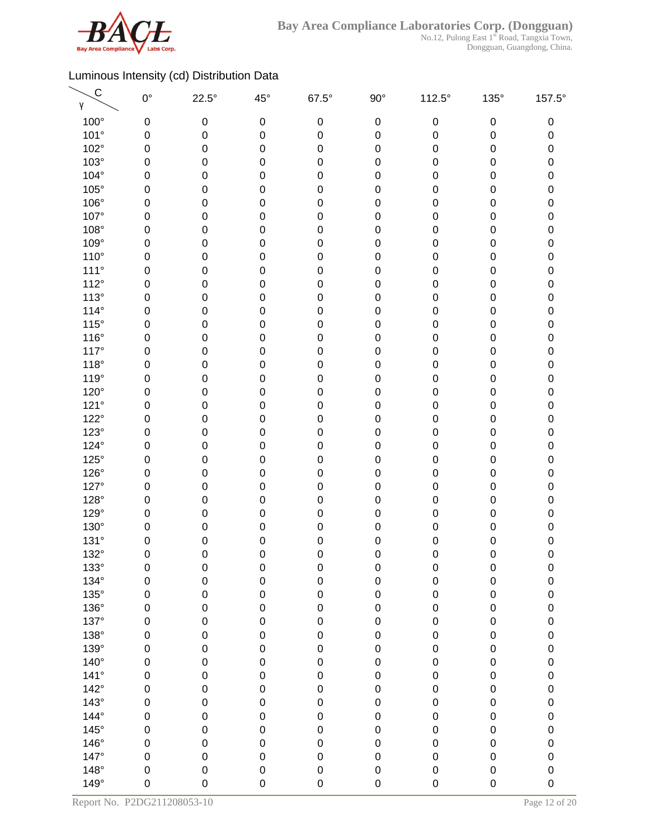

| $\mathsf{C}$<br>γ | $0^{\circ}$ | $22.5^\circ$ | $45^{\circ}$     | $67.5^\circ$ | $90^\circ$  | 112.5°      | $135^\circ$      | 157.5°      |
|-------------------|-------------|--------------|------------------|--------------|-------------|-------------|------------------|-------------|
| $100^\circ$       | 0           | 0            | $\pmb{0}$        | 0            | $\mathbf 0$ | $\mathbf 0$ | $\pmb{0}$        | 0           |
| 101°              | 0           | $\pmb{0}$    | 0                | 0            | $\mathbf 0$ | 0           | $\pmb{0}$        | 0           |
| 102°              | 0           | 0            | 0                | 0            | $\mathbf 0$ | 0           | $\pmb{0}$        | $\pmb{0}$   |
| $103^\circ$       | 0           | 0            | $\mathbf 0$      | 0            | $\mathbf 0$ | 0           | 0                | 0           |
| 104°              | 0           | 0            | 0                | 0            | $\mathbf 0$ | 0           | 0                | $\pmb{0}$   |
| $105^\circ$       | 0           | 0            | 0                | 0            | $\mathbf 0$ | 0           | 0                | 0           |
| 106°              | 0           | 0            | 0                | 0            | $\mathbf 0$ | 0           | $\pmb{0}$        | $\pmb{0}$   |
| 107°              | 0           | 0            | $\mathbf 0$      | 0            | $\mathbf 0$ | 0           | $\pmb{0}$        | 0           |
| 108°              | 0           | $\pmb{0}$    | 0                | 0            | $\pmb{0}$   | 0           | $\pmb{0}$        | $\pmb{0}$   |
| 109°              | 0           | $\pmb{0}$    | 0                | 0            | $\mathbf 0$ | 0           | $\pmb{0}$        | $\pmb{0}$   |
| $110^{\circ}$     | 0           | 0            | 0                | 0            | $\mathbf 0$ | 0           | $\pmb{0}$        | $\pmb{0}$   |
| $111^\circ$       | 0           | 0            | $\boldsymbol{0}$ | 0            | $\mathbf 0$ | 0           | 0                | 0           |
| $112^\circ$       | 0           | 0            | 0                | 0            | $\mathbf 0$ | 0           | 0                | $\pmb{0}$   |
| 113°              | 0           | 0            | 0                | 0            | $\mathbf 0$ | 0           | 0                | 0           |
| $114^\circ$       | 0           | 0            | 0                | 0            | $\pmb{0}$   | 0           | 0                | $\pmb{0}$   |
| $115^\circ$       | 0           | 0            | $\mathbf 0$      | 0            | $\mathbf 0$ | 0           | $\pmb{0}$        | 0           |
| 116°              | $\mathbf 0$ | 0            | $\mathbf 0$      | 0            | $\mathbf 0$ | 0           | $\pmb{0}$        | $\pmb{0}$   |
| 117°              | 0           | 0            | 0                | 0            | $\mathbf 0$ | 0           | $\pmb{0}$        | 0           |
| $118^\circ$       | 0           | 0            | 0                | 0            | $\pmb{0}$   | 0           | $\pmb{0}$        | $\pmb{0}$   |
| 119°              | 0           | 0            | $\mathbf 0$      | 0            | $\mathbf 0$ | 0           | $\pmb{0}$        | 0           |
| 120°              | 0           | 0            | 0                | 0            | $\mathbf 0$ | 0           | 0                | $\pmb{0}$   |
| 121°              | 0           | 0            | 0                | 0            | $\mathbf 0$ | 0           | $\pmb{0}$        | 0           |
| $122^\circ$       | 0           | 0            | 0                | 0            | $\mathbf 0$ | 0           | $\pmb{0}$        | $\pmb{0}$   |
| $123^\circ$       | 0           | 0            | $\mathbf 0$      | 0            | $\mathbf 0$ | 0           | $\pmb{0}$        | 0           |
| 124°              | $\mathbf 0$ | $\pmb{0}$    | 0                | 0            | $\pmb{0}$   | 0           | $\pmb{0}$        | $\pmb{0}$   |
| $125^\circ$       | 0           | $\pmb{0}$    | 0                | 0            | $\mathbf 0$ | 0           | $\pmb{0}$        | $\pmb{0}$   |
| $126^\circ$       | 0           | 0            | 0                | 0            | $\mathbf 0$ | 0           | $\pmb{0}$        | $\pmb{0}$   |
| 127°              | 0           | 0            | $\mathbf 0$      | 0            | $\mathbf 0$ | 0           | 0                | 0           |
| 128°              | 0           | 0            | 0                | 0            | $\mathbf 0$ | 0           | 0                | 0           |
| 129°              | 0           | 0            | 0                | 0            | $\mathbf 0$ | 0           | 0                | 0           |
| 130°              | 0           | 0            | 0                | 0            | $\mathbf 0$ | 0           | 0                | 0           |
| 131°              | 0           | 0            | $\boldsymbol{0}$ | 0            | $\mathbf 0$ | 0           | $\pmb{0}$        | 0           |
| 132°              | $\mathbf 0$ | 0            | $\mathbf 0$      | 0            | 0           | 0           | $\mathbf 0$      | $\mathbf 0$ |
| $133^\circ$       | 0           | 0            | $\boldsymbol{0}$ | $\pmb{0}$    | $\pmb{0}$   | $\pmb{0}$   | $\pmb{0}$        | $\pmb{0}$   |
| 134°              | $\mathbf 0$ | $\mathbf 0$  | $\mathbf 0$      | $\mathsf 0$  | $\mathbf 0$ | 0           | $\pmb{0}$        | $\pmb{0}$   |
| $135^\circ$       | $\mathbf 0$ | $\pmb{0}$    | $\mathbf 0$      | $\mathsf 0$  | $\mathbf 0$ | 0           | $\pmb{0}$        | 0           |
| 136°              | $\mathbf 0$ | $\pmb{0}$    | $\mathbf 0$      | $\mathsf 0$  | $\pmb{0}$   | 0           | $\boldsymbol{0}$ | $\mathbf 0$ |
| 137°              | 0           | $\pmb{0}$    | $\mathbf 0$      | $\mathsf 0$  | $\pmb{0}$   | 0           | $\boldsymbol{0}$ | 0           |
| 138°              | $\mathbf 0$ | $\pmb{0}$    | $\mathbf 0$      | $\mathsf 0$  | $\pmb{0}$   | 0           | $\pmb{0}$        | $\mathbf 0$ |
| 139°              | 0           | $\pmb{0}$    | $\mathbf 0$      | $\mathbf 0$  | $\pmb{0}$   | 0           | $\pmb{0}$        | $\mathbf 0$ |
| $140^\circ$       | $\mathbf 0$ | $\mathbf 0$  | $\mathbf 0$      | $\mathsf 0$  | $\pmb{0}$   | 0           | $\pmb{0}$        | $\pmb{0}$   |
| $141^\circ$       | $\mathbf 0$ | $\mathbf 0$  | $\mathbf 0$      | $\mathsf 0$  | $\pmb{0}$   | 0           | $\pmb{0}$        | $\pmb{0}$   |
| $142^\circ$       | $\mathsf 0$ | $\mathbf 0$  | $\mathbf 0$      | $\mathbf 0$  | $\mathbf 0$ | 0           | $\pmb{0}$        | $\pmb{0}$   |
| $143^\circ$       | $\mathbf 0$ | 0            | $\mathbf 0$      | $\mathsf 0$  | $\mathbf 0$ | 0           | $\pmb{0}$        | $\pmb{0}$   |
| 144°              | $\mathbf 0$ | $\pmb{0}$    | $\mathbf 0$      | $\mathbf 0$  | $\pmb{0}$   | 0           | $\pmb{0}$        | 0           |
| $145^\circ$       | $\mathbf 0$ | $\pmb{0}$    | $\mathbf 0$      | $\mathbf 0$  | $\mathbf 0$ | 0           | $\pmb{0}$        | 0           |
| 146°              | $\mathbf 0$ | $\mathbf 0$  | $\mathbf 0$      | $\mathbf 0$  | $\mathbf 0$ | 0           | $\pmb{0}$        | $\mathbf 0$ |
| 147°              | $\mathbf 0$ | $\pmb{0}$    | $\mathbf 0$      | 0            | $\mathbf 0$ | 0           | $\pmb{0}$        | $\mathbf 0$ |
| $148^\circ$       | $\mathbf 0$ | $\pmb{0}$    | $\pmb{0}$        | $\mathsf 0$  | $\pmb{0}$   | 0           | $\pmb{0}$        | 0           |
| 149°              | $\mathbf 0$ | 0            | $\mathbf 0$      | 0            | $\mathbf 0$ | 0           | $\mathbf 0$      | $\mathbf 0$ |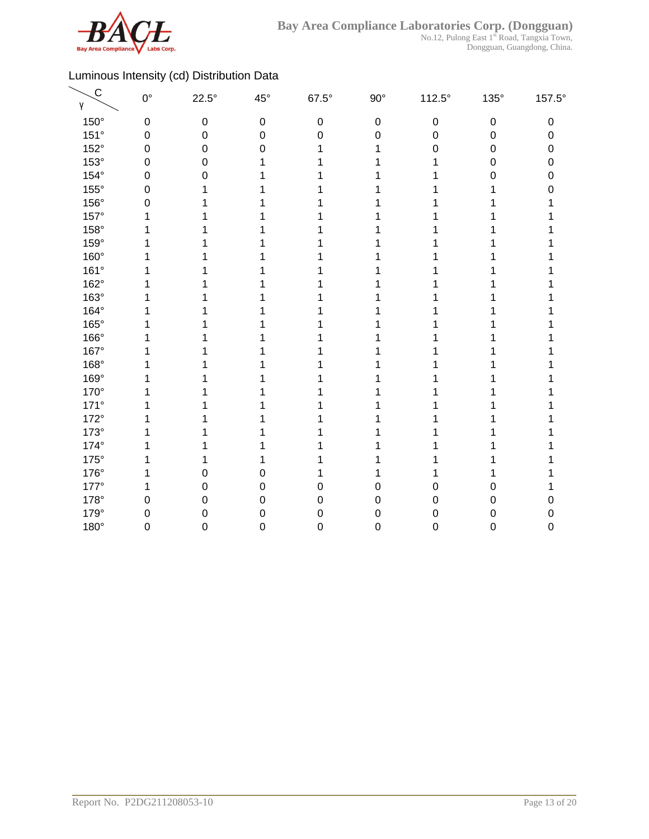

| $\mathsf{C}$<br>γ | $0^{\circ}$      | $22.5^\circ$ | $45^{\circ}$     | $67.5^\circ$     | $90^{\circ}$     | $112.5^\circ$    | 135°             | 157.5° |
|-------------------|------------------|--------------|------------------|------------------|------------------|------------------|------------------|--------|
| $150^\circ$       | $\boldsymbol{0}$ | $\pmb{0}$    | $\boldsymbol{0}$ | $\boldsymbol{0}$ | $\boldsymbol{0}$ | $\boldsymbol{0}$ | $\pmb{0}$        | 0      |
| 151°              | $\boldsymbol{0}$ | 0            | $\mathbf 0$      | 0                | $\mathbf 0$      | 0                | $\boldsymbol{0}$ | 0      |
| 152°              | $\mathbf 0$      | 0            | 0                |                  | 1                | 0                | $\boldsymbol{0}$ | 0      |
| 153°              | $\mathbf 0$      | 0            |                  |                  |                  |                  | 0                | 0      |
| $154^\circ$       | $\mathbf 0$      | 0            |                  |                  |                  |                  | $\Omega$         | 0      |
| $155^\circ$       | $\mathbf 0$      |              |                  |                  |                  |                  |                  | N      |
| 156°              | $\mathbf 0$      |              |                  |                  |                  |                  |                  |        |
| 157°              | 1                |              |                  |                  |                  |                  |                  |        |
| 158°              | 1                |              |                  |                  |                  |                  |                  |        |
| $159^\circ$       |                  |              |                  |                  |                  |                  |                  |        |
| 160°              | 1                |              |                  |                  |                  |                  |                  |        |
| 161°              | 1                |              |                  |                  |                  |                  |                  |        |
| 162°              |                  |              |                  |                  |                  |                  |                  |        |
| 163°              |                  |              |                  |                  |                  |                  |                  |        |
| 164°              |                  |              |                  |                  |                  |                  |                  |        |
| 165°              |                  |              |                  |                  |                  |                  |                  |        |
| 166°              |                  |              |                  |                  |                  |                  |                  |        |
| 167°              |                  |              |                  |                  |                  |                  |                  |        |
| 168°              |                  |              |                  |                  |                  |                  |                  |        |
| 169°              |                  |              |                  |                  |                  |                  |                  |        |
| 170°              |                  |              |                  |                  |                  |                  |                  |        |
| $171^\circ$       |                  |              |                  |                  |                  |                  |                  |        |
| $172^\circ$       |                  |              |                  |                  |                  |                  |                  |        |
| $173^\circ$       |                  |              |                  |                  |                  |                  |                  |        |
| 174°              | 1                |              |                  |                  |                  |                  |                  |        |
| $175^\circ$       | 1                | 1            |                  |                  |                  |                  |                  |        |
| 176°              | 1                | 0            | 0                |                  |                  |                  |                  |        |
| $177^\circ$       | 1                | 0            | 0                | 0                | 0                | 0                | $\Omega$         |        |
| 178°              | $\mathbf 0$      | 0            | 0                | $\boldsymbol{0}$ | 0                | 0                | $\mathbf 0$      | O      |
| 179°              | $\mathbf 0$      | 0            | 0                | $\mathbf 0$      | 0                | 0                | $\mathbf 0$      | n      |
| 180°              | $\mathbf 0$      | 0            | 0                | $\boldsymbol{0}$ | 0                | 0                | $\boldsymbol{0}$ | 0      |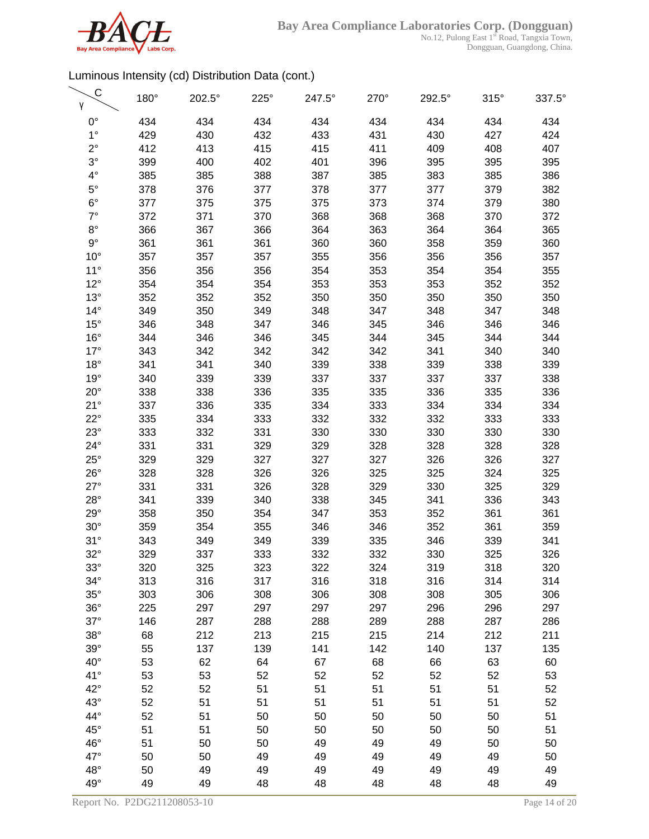

No.12, Pulong East 1<sup>st</sup> Road, Tangxia Town, Dongguan, Guangdong, China.

| C<br>γ       | 180° | 202.5° | 225° | 247.5° | 270° | 292.5° | $315^\circ$ | 337.5° |
|--------------|------|--------|------|--------|------|--------|-------------|--------|
| $0^{\circ}$  | 434  | 434    | 434  | 434    | 434  | 434    | 434         | 434    |
| $1^{\circ}$  | 429  | 430    | 432  | 433    | 431  | 430    | 427         | 424    |
| $2^{\circ}$  | 412  | 413    | 415  | 415    | 411  | 409    | 408         | 407    |
| $3^\circ$    | 399  | 400    | 402  | 401    | 396  | 395    | 395         | 395    |
| $4^{\circ}$  | 385  | 385    | 388  | 387    | 385  | 383    | 385         | 386    |
| $5^{\circ}$  | 378  | 376    | 377  | 378    | 377  | 377    | 379         | 382    |
| $6^{\circ}$  | 377  | 375    | 375  | 375    | 373  | 374    | 379         | 380    |
| $7^\circ$    | 372  | 371    | 370  | 368    | 368  | 368    | 370         | 372    |
| $8^{\circ}$  | 366  | 367    | 366  | 364    | 363  | 364    | 364         | 365    |
| $9^{\circ}$  | 361  | 361    | 361  | 360    | 360  | 358    | 359         | 360    |
| $10^{\circ}$ | 357  | 357    | 357  | 355    | 356  | 356    | 356         | 357    |
| $11^{\circ}$ | 356  | 356    | 356  | 354    | 353  | 354    | 354         | 355    |
| $12^{\circ}$ | 354  | 354    | 354  | 353    | 353  | 353    | 352         | 352    |
| $13^\circ$   | 352  | 352    | 352  | 350    | 350  | 350    | 350         | 350    |
| $14^{\circ}$ | 349  | 350    | 349  | 348    | 347  | 348    | 347         | 348    |
| $15^{\circ}$ | 346  | 348    | 347  | 346    | 345  | 346    | 346         | 346    |
| $16^{\circ}$ | 344  | 346    | 346  | 345    | 344  | 345    | 344         | 344    |
| $17^\circ$   | 343  | 342    | 342  | 342    | 342  | 341    | 340         | 340    |
| $18^{\circ}$ | 341  | 341    | 340  | 339    | 338  | 339    | 338         | 339    |
| 19°          | 340  | 339    | 339  | 337    | 337  | 337    | 337         | 338    |
| $20^{\circ}$ | 338  | 338    | 336  | 335    | 335  | 336    | 335         | 336    |
| 21°          | 337  | 336    | 335  | 334    | 333  | 334    | 334         | 334    |
| $22^{\circ}$ | 335  | 334    | 333  | 332    | 332  | 332    | 333         | 333    |
| $23^\circ$   | 333  | 332    | 331  | 330    | 330  | 330    | 330         | 330    |
| $24^{\circ}$ | 331  | 331    | 329  | 329    | 328  | 328    | 328         | 328    |
| $25^{\circ}$ | 329  | 329    | 327  | 327    | 327  | 326    | 326         | 327    |
| $26^{\circ}$ | 328  | 328    | 326  | 326    | 325  | 325    | 324         | 325    |
| $27^\circ$   | 331  | 331    | 326  | 328    | 329  | 330    | 325         | 329    |
| $28^\circ$   | 341  | 339    | 340  | 338    | 345  | 341    | 336         | 343    |
| $29^\circ$   | 358  | 350    | 354  | 347    | 353  | 352    | 361         | 361    |
| $30^\circ$   | 359  | 354    | 355  | 346    | 346  | 352    | 361         | 359    |
| 31°          | 343  | 349    | 349  | 339    | 335  | 346    | 339         | 341    |
| $32^\circ$   | 329  | 337    | 333  | 332    | 332  | 330    | 325         | 326    |
| $33^\circ$   | 320  | 325    | 323  | 322    | 324  | 319    | 318         | 320    |
| $34^\circ$   | 313  | 316    | 317  | 316    | 318  | 316    | 314         | 314    |
| $35^\circ$   | 303  | 306    | 308  | 306    | 308  | 308    | 305         | 306    |
| $36^\circ$   | 225  | 297    | 297  | 297    | 297  | 296    | 296         | 297    |
| $37^\circ$   | 146  | 287    | 288  | 288    | 289  | 288    | 287         | 286    |
| $38^\circ$   | 68   | 212    | 213  | 215    | 215  | 214    | 212         | 211    |
| $39^\circ$   | 55   | 137    | 139  | 141    | 142  | 140    | 137         | 135    |
| $40^{\circ}$ | 53   | 62     | 64   | 67     | 68   | 66     | 63          | 60     |
| 41°          | 53   | 53     | 52   | 52     | 52   | 52     | 52          | 53     |
| $42^{\circ}$ | 52   | 52     | 51   | 51     | 51   | 51     | 51          | 52     |
| $43^\circ$   | 52   | 51     | 51   | 51     | 51   | 51     | 51          | 52     |
| 44°          | 52   | 51     | 50   | 50     | 50   | 50     | 50          | 51     |
| $45^{\circ}$ | 51   | 51     | 50   | 50     | 50   | 50     | 50          | 51     |
| 46°          | 51   | 50     | 50   | 49     | 49   | 49     | 50          | 50     |
| 47°          | 50   | 50     | 49   | 49     | 49   | 49     | 49          | 50     |
| $48^\circ$   | 50   | 49     | 49   | 49     | 49   | 49     | 49          | 49     |
| 49°          | 49   | 49     | 48   | 48     | 48   | 48     | 48          | 49     |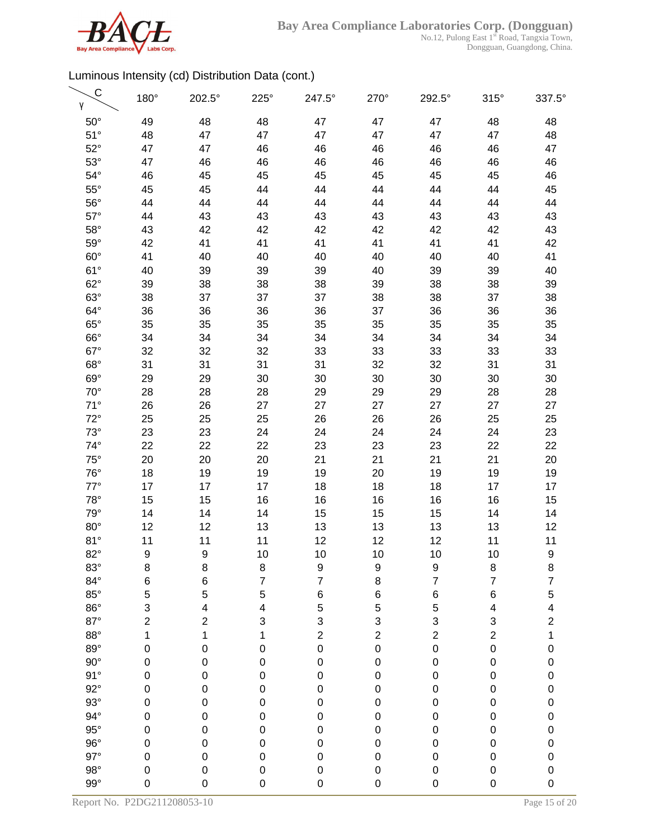

| C<br>γ       | 180°             | 202.5°    | $225^\circ$              | 247.5°                  | 270°                    | 292.5°                  | $315^\circ$             | 337.5°                  |
|--------------|------------------|-----------|--------------------------|-------------------------|-------------------------|-------------------------|-------------------------|-------------------------|
| $50^\circ$   | 49               | 48        | 48                       | 47                      | 47                      | 47                      | 48                      | 48                      |
| $51^\circ$   | 48               | 47        | 47                       | 47                      | 47                      | 47                      | 47                      | 48                      |
| $52^\circ$   | 47               | 47        | 46                       | 46                      | 46                      | 46                      | 46                      | 47                      |
| $53^\circ$   | 47               | 46        | 46                       | 46                      | 46                      | 46                      | 46                      | 46                      |
| $54^\circ$   | 46               | 45        | 45                       | 45                      | 45                      | 45                      | 45                      | 46                      |
| $55^{\circ}$ | 45               | 45        | 44                       | 44                      | 44                      | 44                      | 44                      | 45                      |
| $56^{\circ}$ | 44               | 44        | 44                       | 44                      | 44                      | 44                      | 44                      | 44                      |
| $57^\circ$   | 44               | 43        | 43                       | 43                      | 43                      | 43                      | 43                      | 43                      |
| $58^\circ$   | 43               | 42        | 42                       | 42                      | 42                      | 42                      | 42                      | 43                      |
| $59^\circ$   | 42               | 41        | 41                       | 41                      | 41                      | 41                      | 41                      | 42                      |
| $60^\circ$   | 41               | 40        | 40                       | 40                      | 40                      | 40                      | 40                      | 41                      |
| $61^\circ$   | 40               | 39        | 39                       | 39                      | 40                      | 39                      | 39                      | 40                      |
| $62^\circ$   | 39               | 38        | 38                       | 38                      | 39                      | 38                      | 38                      | 39                      |
| $63^\circ$   | 38               | 37        | 37                       | 37                      | 38                      | 38                      | 37                      | 38                      |
| $64^{\circ}$ | 36               | 36        | 36                       | 36                      | 37                      | 36                      | 36                      | 36                      |
| $65^\circ$   | 35               | 35        | 35                       | 35                      | 35                      | 35                      | 35                      | 35                      |
| $66^\circ$   | 34               | 34        | 34                       | 34                      | 34                      | 34                      | 34                      | 34                      |
| $67^\circ$   | 32               | 32        | 32                       | 33                      | 33                      | 33                      | 33                      | 33                      |
| $68^\circ$   | 31               | 31        | 31                       | 31                      | 32                      | 32                      | 31                      | 31                      |
| $69^\circ$   | 29               | 29        | 30                       | 30                      | 30                      | 30                      | 30                      | 30                      |
| $70^{\circ}$ | 28               | 28        | 28                       | 29                      | 29                      | 29                      | 28                      | 28                      |
| $71^\circ$   | 26               | 26        | 27                       | 27                      | 27                      | 27                      | 27                      | 27                      |
| $72^\circ$   | 25               | 25        | 25                       | 26                      | 26                      | 26                      | 25                      | 25                      |
| $73^\circ$   | 23               | 23        | 24                       | 24                      | 24                      | 24                      | 24                      | 23                      |
| $74^\circ$   | 22               | 22        | 22                       | 23                      | 23                      | 23                      | 22                      | 22                      |
| $75^{\circ}$ | 20               | 20        | 20                       | 21                      | 21                      | 21                      | 21                      | 20                      |
| $76^{\circ}$ | 18               | 19        | 19                       | 19                      | 20                      | 19                      | 19                      | 19                      |
| $77^\circ$   | 17               | 17        | 17                       | 18                      | 18                      | 18                      | 17                      | 17                      |
| $78^\circ$   | 15               | 15        | 16                       | 16                      | 16                      | 16                      | 16                      | 15                      |
| $79^\circ$   | 14               | 14        | 14                       | 15                      | 15                      | 15                      | 14                      | 14                      |
| $80^\circ$   | 12               | 12        | 13                       | 13                      | 13                      | 13                      | 13                      | 12                      |
| 81°          | 11               | 11        | 11                       | 12                      | 12                      | 12                      | 11                      | 11                      |
| $82^\circ$   | $\boldsymbol{9}$ | 9         | 10                       | 10                      | 10                      | 10                      | 10                      | 9                       |
| $83^\circ$   | 8                | 8         | 8                        | 9                       | 9                       | 9                       | 8                       | 8                       |
| $84^\circ$   | 6                | 6         | $\overline{\mathcal{I}}$ | $\overline{7}$          | 8                       | $\overline{7}$          | $\overline{7}$          | 7                       |
| $85^\circ$   | 5                | 5         | 5                        | $\,$ 6 $\,$             | 6                       | 6                       | 6                       | 5                       |
| $86^\circ$   | 3                | 4         | 4                        | 5                       | 5                       | 5                       | 4                       | 4                       |
| $87^\circ$   | $\boldsymbol{2}$ | 2         | 3                        | 3                       | 3                       | 3                       | 3                       | $\overline{\mathbf{c}}$ |
| $88^\circ$   | 1                | 1         | 1                        | $\overline{\mathbf{c}}$ | $\overline{\mathbf{c}}$ | $\overline{\mathbf{c}}$ | $\overline{\mathbf{c}}$ | 1                       |
| $89^\circ$   | $\pmb{0}$        | $\pmb{0}$ | $\pmb{0}$                | $\mathbf 0$             | $\mathbf 0$             | 0                       | $\pmb{0}$               | $\mathbf{0}$            |
| $90^{\circ}$ | $\pmb{0}$        | $\pmb{0}$ | $\pmb{0}$                | $\mathbf 0$             | $\pmb{0}$               | 0                       | $\pmb{0}$               | $\mathbf 0$             |
| 91°          | $\mathbf 0$      | $\pmb{0}$ | $\mathbf 0$              | $\mathbf 0$             | $\pmb{0}$               | 0                       | $\mathbf 0$             | $\mathbf{0}$            |
| $92^\circ$   | $\mathbf 0$      | $\pmb{0}$ | $\mathbf 0$              | 0                       | $\mathbf 0$             | 0                       | $\pmb{0}$               | $\mathbf{0}$            |
| $93^\circ$   | $\mathbf 0$      | 0         | $\mathbf 0$              | $\mathbf 0$             | $\mathbf 0$             | 0                       | $\pmb{0}$               | $\mathbf{0}$            |
| $94^\circ$   | $\mathbf 0$      | $\pmb{0}$ | $\mathbf 0$              | $\mathbf 0$             | $\mathbf 0$             | 0                       | $\pmb{0}$               | $\mathbf{0}$            |
| $95^\circ$   | $\boldsymbol{0}$ | $\pmb{0}$ | $\boldsymbol{0}$         | $\mathbf 0$             | $\pmb{0}$               | 0                       | $\pmb{0}$               | $\mathbf{0}$            |
| $96^\circ$   | $\boldsymbol{0}$ | 0         | $\boldsymbol{0}$         | 0                       | $\mathbf 0$             | 0                       | $\pmb{0}$               | $\mathbf{0}$            |
| $97^\circ$   | $\mathbf 0$      | $\pmb{0}$ | $\pmb{0}$                | $\mathbf 0$             | $\mathbf 0$             | 0                       | $\pmb{0}$               | $\mathbf 0$             |
| $98^\circ$   | $\pmb{0}$        | $\pmb{0}$ | 0                        | $\mathbf 0$             | $\pmb{0}$               | 0                       | $\pmb{0}$               | $\mathbf 0$             |
| $99^\circ$   | $\boldsymbol{0}$ | 0         | $\mathbf 0$              | 0                       | $\pmb{0}$               | 0                       | $\pmb{0}$               | $\mathbf 0$             |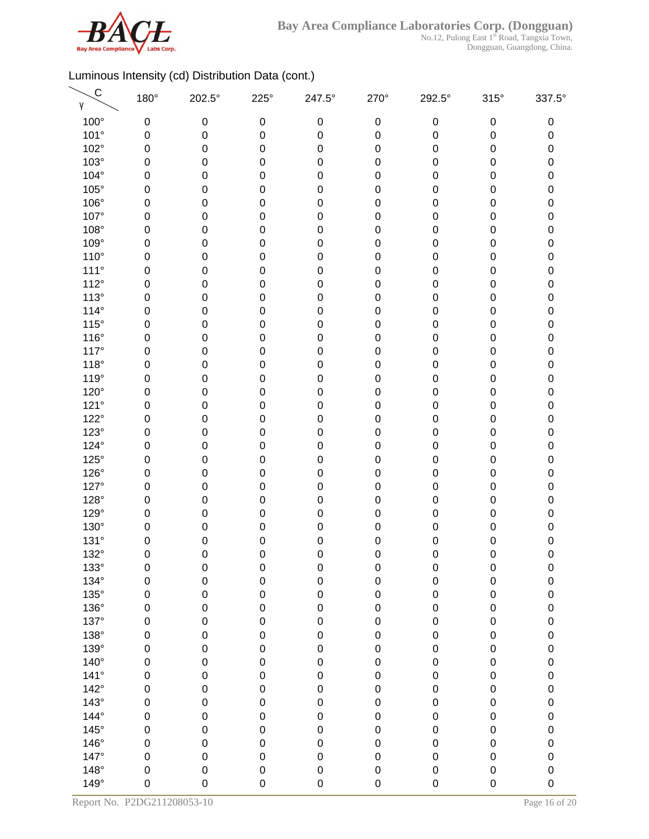

No.12, Pulong East 1<sup>st</sup> Road, Tangxia Town, Dongguan, Guangdong, China.

| $\mathsf{C}$<br>γ | 180°        | 202.5°      | $225^\circ$      | 247.5°           | 270°        | 292.5°      | $315^\circ$      | 337.5°              |
|-------------------|-------------|-------------|------------------|------------------|-------------|-------------|------------------|---------------------|
| 100°              | 0           | 0           | $\boldsymbol{0}$ | $\boldsymbol{0}$ | $\pmb{0}$   | $\pmb{0}$   | $\pmb{0}$        | 0                   |
| 101°              | 0           | $\mathbf 0$ | 0                | $\mathbf 0$      | $\pmb{0}$   | 0           | 0                | 0                   |
| 102°              | 0           | 0           | $\mathbf 0$      | 0                | $\pmb{0}$   | 0           | 0                | 0                   |
| $103^\circ$       | 0           | 0           | 0                | 0                | $\pmb{0}$   | 0           | $\mathbf 0$      | 0                   |
| 104°              | 0           | 0           | 0                | 0                | $\pmb{0}$   | 0           | 0                | 0                   |
| 105°              | 0           | 0           | 0                | 0                | $\pmb{0}$   | 0           | $\boldsymbol{0}$ | 0                   |
| 106°              | 0           | 0           | $\mathbf 0$      | 0                | $\pmb{0}$   | 0           | $\pmb{0}$        | 0                   |
| 107°              | $\mathbf 0$ | 0           | 0                | 0                | $\mathbf 0$ | 0           | $\pmb{0}$        | $\pmb{0}$           |
| 108°              | 0           | $\pmb{0}$   | 0                | 0                | $\mathbf 0$ | 0           | $\pmb{0}$        | 0                   |
| 109°              | 0           | 0           | 0                | 0                | $\pmb{0}$   | 0           | 0                | $\mathsf{O}\xspace$ |
| $110^{\circ}$     | 0           | 0           | $\mathbf 0$      | 0                | $\pmb{0}$   | 0           | 0                | 0                   |
| $111^\circ$       | 0           | 0           | 0                | 0                | $\mathbf 0$ | 0           | $\mathbf 0$      | 0                   |
| 112°              | 0           | 0           | 0                | 0                | $\mathbf 0$ | 0           | 0                | 0                   |
| $113^\circ$       | 0           | 0           | 0                | 0                | $\pmb{0}$   | 0           | $\mathbf 0$      | 0                   |
| $114^\circ$       | 0           | 0           | $\boldsymbol{0}$ | 0                | $\mathbf 0$ | 0           | 0                | 0                   |
| $115^\circ$       | $\mathbf 0$ | 0           | $\pmb{0}$        | 0                | $\pmb{0}$   | 0           | $\pmb{0}$        | $\pmb{0}$           |
| $116^\circ$       | 0           | 0           | 0                | 0                | $\mathbf 0$ | 0           | $\pmb{0}$        | 0                   |
| $117^\circ$       | 0           | 0           | 0                | 0                | $\mathbf 0$ | 0           | 0                | $\pmb{0}$           |
| $118^\circ$       | 0           | 0           | $\mathbf 0$      | 0                | $\mathbf 0$ | 0           | 0                | 0                   |
| 119°              | 0           | 0           | 0                | 0                | $\mathbf 0$ | 0           | 0                | 0                   |
| 120°              | 0           | 0           | 0                | 0                | $\mathbf 0$ | 0           | 0                | 0                   |
| 121°              | 0           | 0           | 0                | 0                | $\mathbf 0$ | 0           | $\mathbf 0$      | 0                   |
| $122^\circ$       | $\mathbf 0$ | 0           | $\mathbf 0$      | 0                | $\mathbf 0$ | 0           | $\pmb{0}$        | 0                   |
| $123^\circ$       | 0           | $\mathbf 0$ | 0                | 0                | $\mathbf 0$ | 0           | $\pmb{0}$        | $\pmb{0}$           |
| 124°              | 0           | $\pmb{0}$   | 0                | 0                | $\mathbf 0$ | 0           | $\pmb{0}$        | $\pmb{0}$           |
| $125^\circ$       | 0           | 0           | 0                | 0                | $\mathbf 0$ | 0           | 0                | $\pmb{0}$           |
| 126°              | 0           | 0           | $\mathbf 0$      | 0                | $\mathbf 0$ | 0           | 0                | 0                   |
| 127°              | 0           | 0           | 0                | 0                | $\mathbf 0$ | 0           | $\mathbf 0$      | 0                   |
| 128°              | 0           | 0           | 0                | 0                | $\mathbf 0$ | 0           | 0                | 0                   |
| 129°              | 0           | 0           | 0                | 0                | $\mathbf 0$ | 0           | $\mathbf 0$      | 0                   |
| 130°              | 0           | 0           | $\mathbf 0$      | 0                | 0           | 0           | 0                | 0                   |
| 131°              | $\mathbf 0$ | 0           | $\mathbf 0$      | 0                | $\mathbf 0$ | 0           | 0                | 0                   |
| 132°              | $\mathbf 0$ | 0           | $\mathbf 0$      | 0                | 0           | 0           | 0                | 0                   |
| 133°              | 0           | 0           | $\boldsymbol{0}$ | 0                | $\pmb{0}$   | $\mathbf 0$ | $\pmb{0}$        | $\pmb{0}$           |
| 134°              | 0           | $\pmb{0}$   | $\boldsymbol{0}$ | $\mathsf 0$      | $\mathbf 0$ | 0           | $\pmb{0}$        | 0                   |
| $135^\circ$       | $\mathbf 0$ | $\pmb{0}$   | $\mathbf 0$      | $\mathsf 0$      | $\mathbf 0$ | 0           | $\boldsymbol{0}$ | $\pmb{0}$           |
| 136°              | 0           | $\pmb{0}$   | $\mathbf 0$      | $\mathsf 0$      | $\pmb{0}$   | 0           | $\boldsymbol{0}$ | 0                   |
| 137°              | $\mathbf 0$ | $\pmb{0}$   | $\mathbf 0$      | $\mathsf 0$      | $\pmb{0}$   | 0           | $\boldsymbol{0}$ | $\mathbf 0$         |
| 138°              | $\mathbf 0$ | $\pmb{0}$   | $\mathbf 0$      | $\mathbf 0$      | $\pmb{0}$   | 0           | $\pmb{0}$        | $\mathbf 0$         |
| 139°              | $\mathbf 0$ | $\mathbf 0$ | $\mathbf 0$      | $\mathsf 0$      | $\pmb{0}$   | 0           | $\mathbf 0$      | $\mathbf 0$         |
| $140^\circ$       | $\mathbf 0$ | $\mathbf 0$ | $\mathbf 0$      | $\mathsf 0$      | $\pmb{0}$   | 0           | $\pmb{0}$        | $\pmb{0}$           |
| $141^\circ$       | $\mathsf 0$ | $\mathbf 0$ | $\mathbf 0$      | $\mathbf 0$      | $\pmb{0}$   | 0           | $\mathbf 0$      | $\mathbf 0$         |
| $142^\circ$       | $\mathbf 0$ | 0           | $\mathbf 0$      | $\mathsf 0$      | $\mathbf 0$ | 0           | $\pmb{0}$        | $\pmb{0}$           |
| $143^\circ$       | $\mathbf 0$ | $\pmb{0}$   | $\mathbf 0$      | $\mathsf 0$      | $\pmb{0}$   | 0           | $\pmb{0}$        | $\pmb{0}$           |
| 144°              | $\mathbf 0$ | $\pmb{0}$   | $\mathbf 0$      | $\mathsf 0$      | $\mathbf 0$ | 0           | $\boldsymbol{0}$ | 0                   |
| $145^\circ$       | $\mathbf 0$ | 0           | $\mathbf 0$      | $\mathsf 0$      | $\pmb{0}$   | 0           | $\mathbf 0$      | $\pmb{0}$           |
| 146°              | $\mathbf 0$ | $\pmb{0}$   | $\mathbf 0$      | $\mathsf 0$      | $\pmb{0}$   | 0           | $\pmb{0}$        | 0                   |
| $147^\circ$       | $\mathbf 0$ | $\mathbf 0$ | $\mathbf 0$      | $\mathsf 0$      | $\pmb{0}$   | 0           | $\mathbf 0$      | $\mathbf 0$         |
| $148^\circ$       | 0           | $\mathbf 0$ | $\pmb{0}$        | $\mathsf 0$      | $\pmb{0}$   | 0           | $\pmb{0}$        | $\pmb{0}$           |
| 149°              | $\mathsf 0$ | 0           | $\mathsf 0$      | 0                | $\pmb{0}$   | 0           | $\mathbf 0$      | $\mathbf 0$         |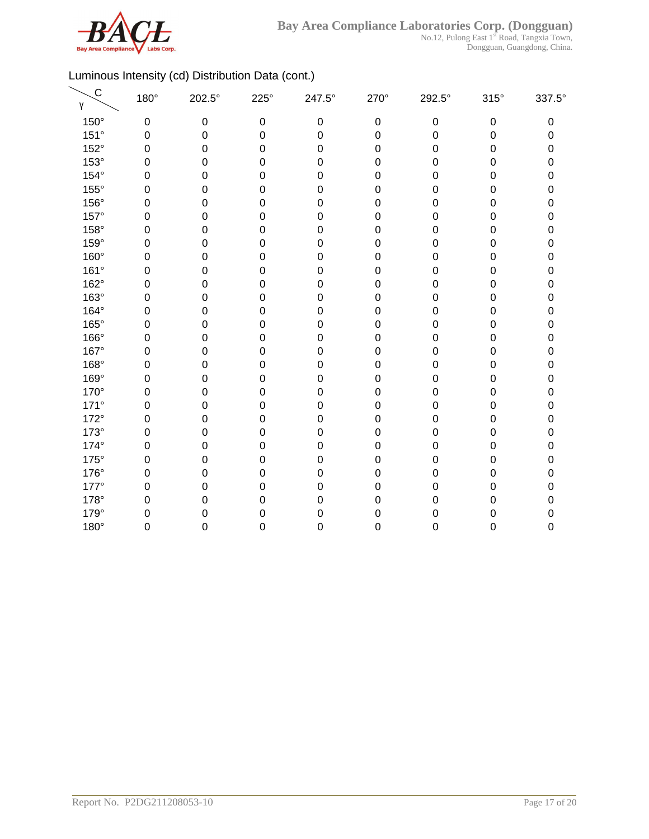

| $\mathsf C$<br>γ | 180°        | 202.5°    | $225^\circ$      | 247.5°           | 270°             | 292.5°    | $315^\circ$      | 337.5° |
|------------------|-------------|-----------|------------------|------------------|------------------|-----------|------------------|--------|
| 150°             | $\mathbf 0$ | $\pmb{0}$ | $\boldsymbol{0}$ | $\pmb{0}$        | $\mathbf 0$      | $\pmb{0}$ | $\pmb{0}$        | 0      |
| 151°             | $\mathbf 0$ | 0         | $\mathbf 0$      | $\boldsymbol{0}$ | $\mathbf 0$      | 0         | $\boldsymbol{0}$ | 0      |
| 152°             | $\mathbf 0$ | 0         | $\mathbf 0$      | $\boldsymbol{0}$ | $\mathbf 0$      | 0         | $\boldsymbol{0}$ | 0      |
| 153°             | $\mathbf 0$ | 0         | $\mathbf 0$      | $\boldsymbol{0}$ | $\boldsymbol{0}$ | 0         | $\mathbf 0$      | 0      |
| $154^\circ$      | $\mathbf 0$ | 0         | $\mathbf 0$      | $\boldsymbol{0}$ | $\boldsymbol{0}$ | 0         | $\mathbf 0$      | 0      |
| 155°             | $\mathbf 0$ | 0         | $\mathbf 0$      | $\boldsymbol{0}$ | $\boldsymbol{0}$ | 0         | $\mathbf 0$      | 0      |
| 156°             | $\mathbf 0$ | 0         | $\mathbf 0$      | $\mathbf 0$      | $\mathbf 0$      | 0         | $\mathbf 0$      | 0      |
| 157°             | $\mathbf 0$ | 0         | 0                | $\mathbf 0$      | $\boldsymbol{0}$ | 0         | 0                | 0      |
| 158°             | $\mathbf 0$ | 0         | 0                | $\boldsymbol{0}$ | $\boldsymbol{0}$ | 0         | 0                | 0      |
| 159°             | 0           | 0         | 0                | $\boldsymbol{0}$ | 0                | 0         | 0                | 0      |
| 160°             | $\mathbf 0$ | 0         | $\mathbf 0$      | $\boldsymbol{0}$ | $\pmb{0}$        | 0         | $\mathbf 0$      | 0      |
| 161°             | $\mathbf 0$ | 0         | $\mathbf 0$      | $\boldsymbol{0}$ | $\mathbf 0$      | 0         | 0                | 0      |
| 162°             | $\mathbf 0$ | 0         | $\mathbf 0$      | $\mathbf 0$      | $\mathbf 0$      | 0         | 0                | 0      |
| 163°             | $\mathbf 0$ | 0         | $\mathbf 0$      | $\mathbf 0$      | $\mathbf 0$      | 0         | $\mathbf 0$      | 0      |
| 164°             | $\mathbf 0$ | 0         | $\mathbf 0$      | $\mathbf 0$      | $\mathbf 0$      | 0         | $\boldsymbol{0}$ | 0      |
| 165°             | $\mathbf 0$ | 0         | $\mathbf 0$      | $\mathbf 0$      | $\pmb{0}$        | 0         | 0                | 0      |
| 166°             | $\mathbf 0$ | 0         | $\mathbf 0$      | $\boldsymbol{0}$ | $\mathbf 0$      | 0         | $\mathbf 0$      | 0      |
| 167°             | $\mathbf 0$ | 0         | $\boldsymbol{0}$ | $\boldsymbol{0}$ | $\mathbf 0$      | 0         | $\mathbf 0$      | 0      |
| 168°             | $\mathbf 0$ | 0         | $\boldsymbol{0}$ | $\mathbf 0$      | $\pmb{0}$        | 0         | $\boldsymbol{0}$ | 0      |
| 169°             | $\mathbf 0$ | 0         | $\boldsymbol{0}$ | $\mathbf 0$      | $\boldsymbol{0}$ | 0         | $\mathbf 0$      | 0      |
| 170°             | $\mathbf 0$ | 0         | $\mathbf 0$      | $\boldsymbol{0}$ | $\boldsymbol{0}$ | 0         | 0                | 0      |
| $171^\circ$      | 0           | 0         | $\mathbf 0$      | $\mathbf 0$      | $\boldsymbol{0}$ | 0         | $\mathbf 0$      | 0      |
| 172°             | $\mathbf 0$ | 0         | $\mathbf 0$      | $\boldsymbol{0}$ | $\mathbf 0$      | 0         | $\mathbf 0$      | 0      |
| $173^\circ$      | 0           | 0         | 0                | $\mathbf 0$      | $\boldsymbol{0}$ | 0         | 0                | 0      |
| 174°             | $\mathbf 0$ | 0         | $\mathbf 0$      | $\boldsymbol{0}$ | $\boldsymbol{0}$ | 0         | $\boldsymbol{0}$ | 0      |
| $175^\circ$      | $\mathbf 0$ | 0         | $\mathbf 0$      | $\mathbf 0$      | $\mathbf 0$      | 0         | $\boldsymbol{0}$ | 0      |
| 176°             | $\mathbf 0$ | 0         | $\mathbf 0$      | $\boldsymbol{0}$ | $\mathbf 0$      | 0         | $\boldsymbol{0}$ | 0      |
| 177°             | $\mathbf 0$ | 0         | $\mathbf 0$      | $\mathbf 0$      | $\boldsymbol{0}$ | 0         | 0                | 0      |
| 178°             | $\mathbf 0$ | 0         | 0                | $\boldsymbol{0}$ | $\boldsymbol{0}$ | 0         | $\mathbf 0$      | 0      |
| 179°             | 0           | 0         | 0                | $\mathbf 0$      | 0                | 0         | $\mathbf 0$      | 0      |
| 180°             | 0           | 0         | 0                | $\mathbf 0$      | 0                | 0         | $\boldsymbol{0}$ | 0      |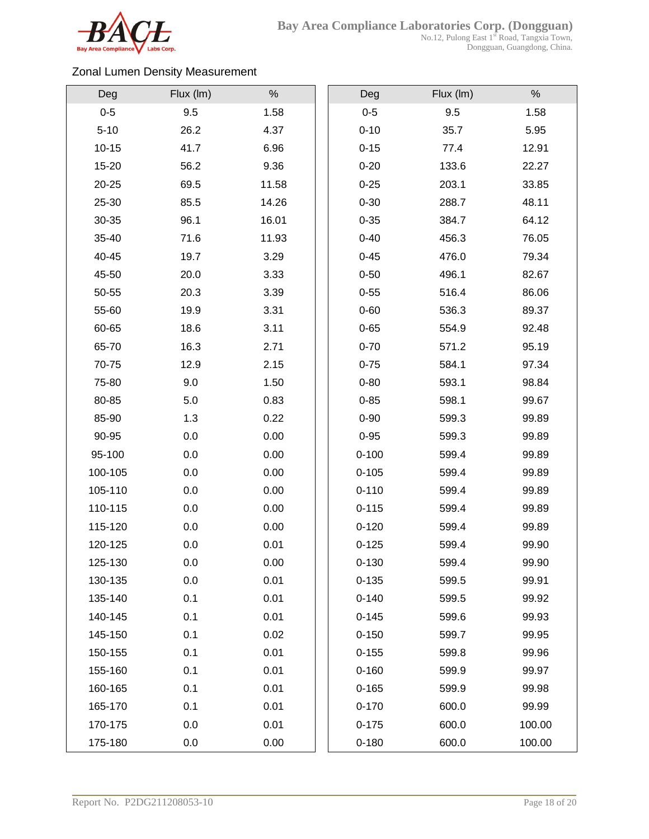

### Zonal Lumen Density Measurement

| Deg       | Flux (Im) | $\%$  | Deg       | Flux (Im) | $\%$   |
|-----------|-----------|-------|-----------|-----------|--------|
| $0 - 5$   | 9.5       | 1.58  | $0-5$     | 9.5       | 1.58   |
| $5 - 10$  | 26.2      | 4.37  | $0 - 10$  | 35.7      | 5.95   |
| $10 - 15$ | 41.7      | 6.96  | $0 - 15$  | 77.4      | 12.91  |
| 15-20     | 56.2      | 9.36  | $0 - 20$  | 133.6     | 22.27  |
| 20-25     | 69.5      | 11.58 | $0 - 25$  | 203.1     | 33.85  |
| 25-30     | 85.5      | 14.26 | $0 - 30$  | 288.7     | 48.11  |
| 30-35     | 96.1      | 16.01 | $0 - 35$  | 384.7     | 64.12  |
| 35-40     | 71.6      | 11.93 | $0 - 40$  | 456.3     | 76.05  |
| 40-45     | 19.7      | 3.29  | $0 - 45$  | 476.0     | 79.34  |
| 45-50     | 20.0      | 3.33  | $0 - 50$  | 496.1     | 82.67  |
| 50-55     | 20.3      | 3.39  | $0 - 55$  | 516.4     | 86.06  |
| 55-60     | 19.9      | 3.31  | $0 - 60$  | 536.3     | 89.37  |
| 60-65     | 18.6      | 3.11  | $0 - 65$  | 554.9     | 92.48  |
| 65-70     | 16.3      | 2.71  | $0 - 70$  | 571.2     | 95.19  |
| 70-75     | 12.9      | 2.15  | $0 - 75$  | 584.1     | 97.34  |
| 75-80     | 9.0       | 1.50  | $0 - 80$  | 593.1     | 98.84  |
| 80-85     | $5.0\,$   | 0.83  | $0 - 85$  | 598.1     | 99.67  |
| 85-90     | 1.3       | 0.22  | $0 - 90$  | 599.3     | 99.89  |
| 90-95     | 0.0       | 0.00  | $0 - 95$  | 599.3     | 99.89  |
| 95-100    | 0.0       | 0.00  | $0 - 100$ | 599.4     | 99.89  |
| 100-105   | 0.0       | 0.00  | $0 - 105$ | 599.4     | 99.89  |
| 105-110   | 0.0       | 0.00  | $0 - 110$ | 599.4     | 99.89  |
| 110-115   | 0.0       | 0.00  | $0 - 115$ | 599.4     | 99.89  |
| 115-120   | 0.0       | 0.00  | $0 - 120$ | 599.4     | 99.89  |
| 120-125   | 0.0       | 0.01  | $0 - 125$ | 599.4     | 99.90  |
| 125-130   | 0.0       | 0.00  | $0 - 130$ | 599.4     | 99.90  |
| 130-135   | 0.0       | 0.01  | $0 - 135$ | 599.5     | 99.91  |
| 135-140   | 0.1       | 0.01  | $0 - 140$ | 599.5     | 99.92  |
| 140-145   | 0.1       | 0.01  | $0 - 145$ | 599.6     | 99.93  |
| 145-150   | 0.1       | 0.02  | $0 - 150$ | 599.7     | 99.95  |
| 150-155   | 0.1       | 0.01  | $0 - 155$ | 599.8     | 99.96  |
| 155-160   | 0.1       | 0.01  | $0 - 160$ | 599.9     | 99.97  |
| 160-165   | 0.1       | 0.01  | $0 - 165$ | 599.9     | 99.98  |
| 165-170   | 0.1       | 0.01  | $0 - 170$ | 600.0     | 99.99  |
| 170-175   | 0.0       | 0.01  | $0 - 175$ | 600.0     | 100.00 |
| 175-180   | 0.0       | 0.00  | $0 - 180$ | 600.0     | 100.00 |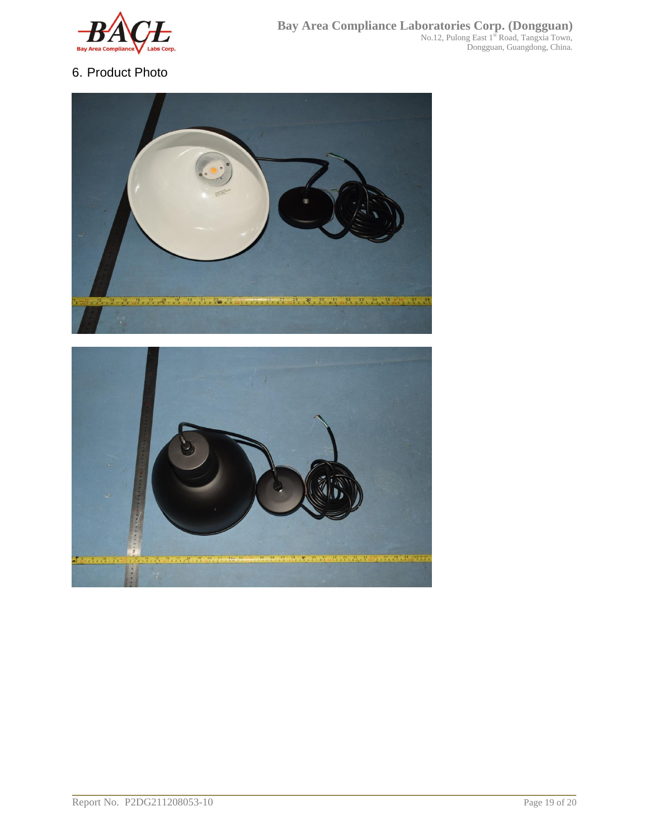

## 6. Product Photo